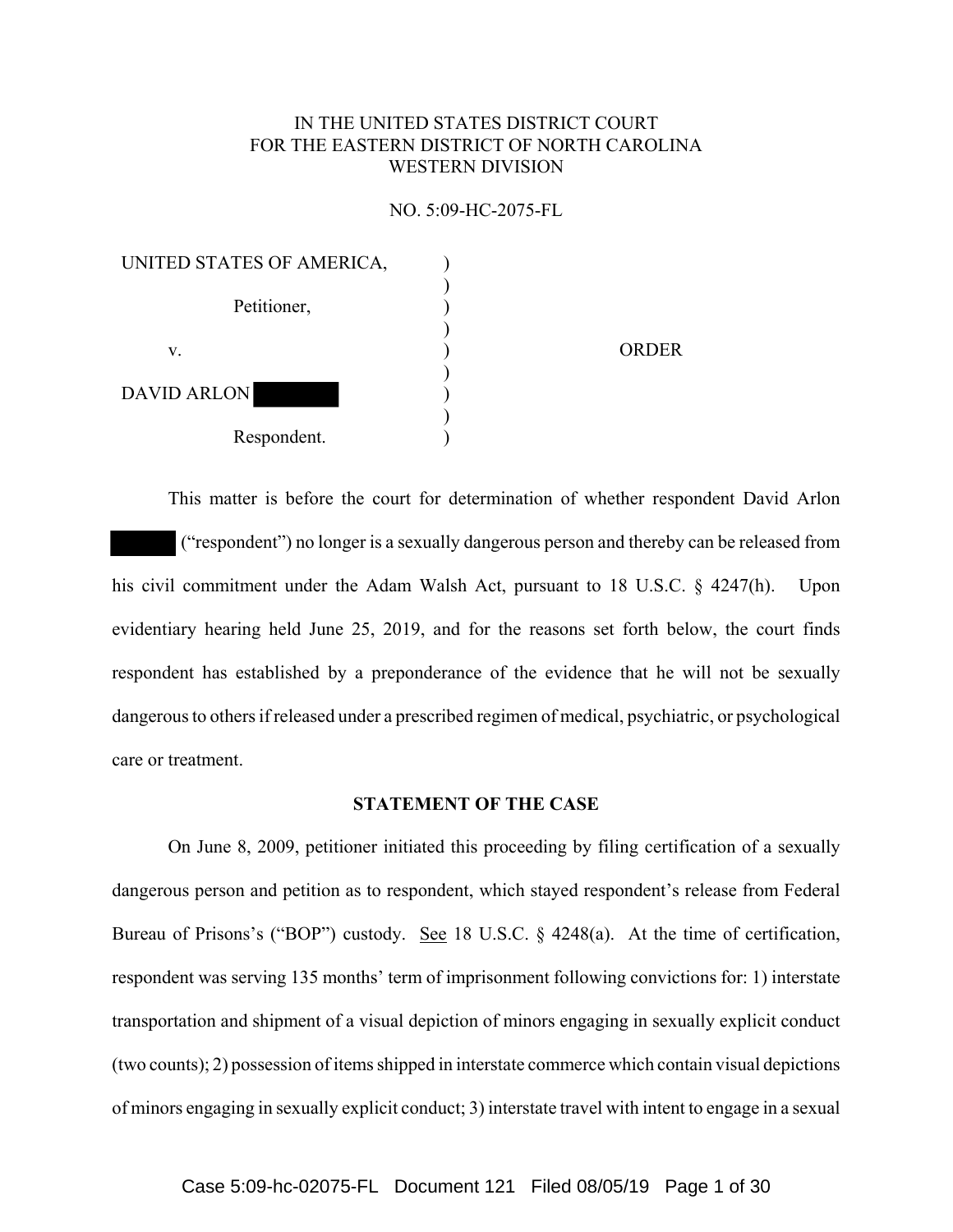# IN THE UNITED STATES DISTRICT COURT FOR THE EASTERN DISTRICT OF NORTH CAROLINA WESTERN DIVISION

#### NO. 5:09-HC-2075-FL

| UNITED STATES OF AMERICA, |              |
|---------------------------|--------------|
| Petitioner,               |              |
| V.                        | <b>ORDER</b> |
| <b>DAVID ARLON</b>        |              |
| Respondent.               |              |

This matter is before the court for determination of whether respondent David Arlon ("respondent") no longer is a sexually dangerous person and thereby can be released from his civil commitment under the Adam Walsh Act, pursuant to 18 U.S.C. § 4247(h). Upon evidentiary hearing held June 25, 2019, and for the reasons set forth below, the court finds respondent has established by a preponderance of the evidence that he will not be sexually dangerous to others if released under a prescribed regimen of medical, psychiatric, or psychological care or treatment.

### **STATEMENT OF THE CASE**

On June 8, 2009, petitioner initiated this proceeding by filing certification of a sexually dangerous person and petition as to respondent, which stayed respondent's release from Federal Bureau of Prisons's ("BOP") custody. See 18 U.S.C. § 4248(a). At the time of certification, respondent was serving 135 months' term of imprisonment following convictions for: 1) interstate transportation and shipment of a visual depiction of minors engaging in sexually explicit conduct (two counts); 2) possession of items shipped in interstate commerce which contain visual depictions of minors engaging in sexually explicit conduct; 3) interstate travel with intent to engage in a sexual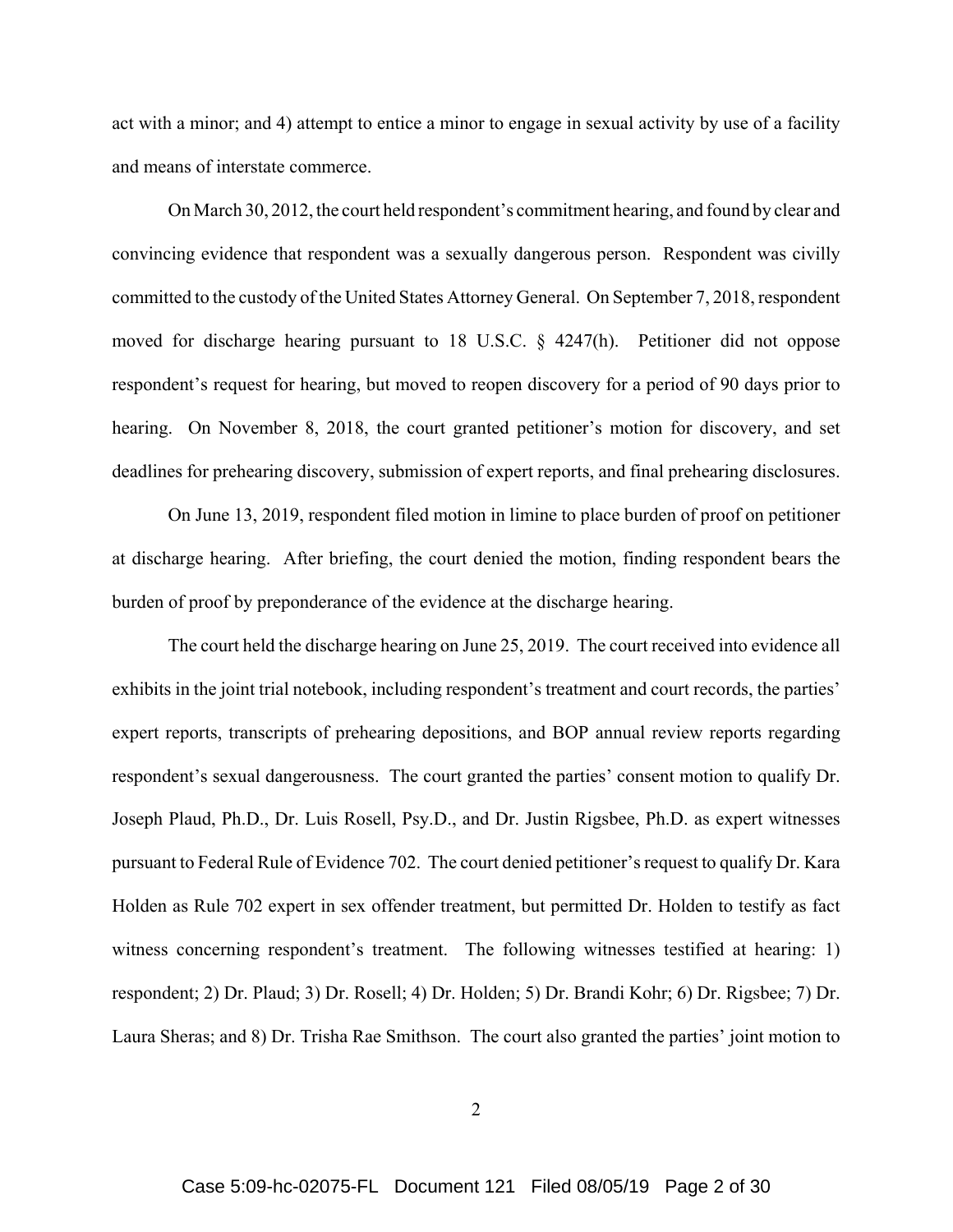act with a minor; and 4) attempt to entice a minor to engage in sexual activity by use of a facility and means of interstate commerce.

On March 30, 2012, the court held respondent's commitment hearing, and found by clear and convincing evidence that respondent was a sexually dangerous person. Respondent was civilly committed to the custody of the United States Attorney General. On September 7, 2018, respondent moved for discharge hearing pursuant to 18 U.S.C. § 4247(h). Petitioner did not oppose respondent's request for hearing, but moved to reopen discovery for a period of 90 days prior to hearing. On November 8, 2018, the court granted petitioner's motion for discovery, and set deadlines for prehearing discovery, submission of expert reports, and final prehearing disclosures.

On June 13, 2019, respondent filed motion in limine to place burden of proof on petitioner at discharge hearing. After briefing, the court denied the motion, finding respondent bears the burden of proof by preponderance of the evidence at the discharge hearing.

The court held the discharge hearing on June 25, 2019. The court received into evidence all exhibits in the joint trial notebook, including respondent's treatment and court records, the parties' expert reports, transcripts of prehearing depositions, and BOP annual review reports regarding respondent's sexual dangerousness. The court granted the parties' consent motion to qualify Dr. Joseph Plaud, Ph.D., Dr. Luis Rosell, Psy.D., and Dr. Justin Rigsbee, Ph.D. as expert witnesses pursuant to Federal Rule of Evidence 702. The court denied petitioner's request to qualify Dr. Kara Holden as Rule 702 expert in sex offender treatment, but permitted Dr. Holden to testify as fact witness concerning respondent's treatment. The following witnesses testified at hearing: 1) respondent; 2) Dr. Plaud; 3) Dr. Rosell; 4) Dr. Holden; 5) Dr. Brandi Kohr; 6) Dr. Rigsbee; 7) Dr. Laura Sheras; and 8) Dr. Trisha Rae Smithson. The court also granted the parties' joint motion to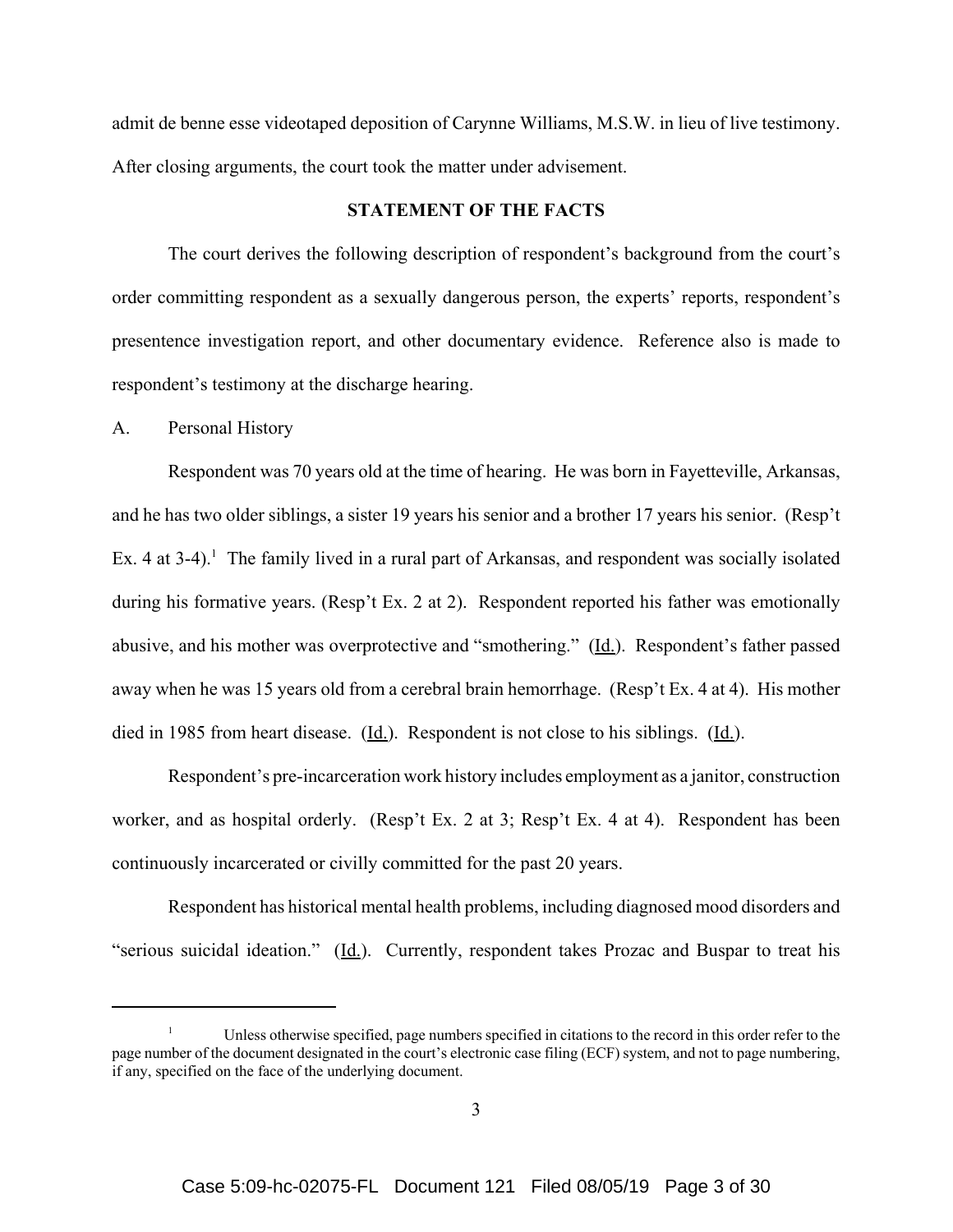admit de benne esse videotaped deposition of Carynne Williams, M.S.W. in lieu of live testimony. After closing arguments, the court took the matter under advisement.

#### **STATEMENT OF THE FACTS**

The court derives the following description of respondent's background from the court's order committing respondent as a sexually dangerous person, the experts' reports, respondent's presentence investigation report, and other documentary evidence. Reference also is made to respondent's testimony at the discharge hearing.

#### A. Personal History

Respondent was 70 years old at the time of hearing. He was born in Fayetteville, Arkansas, and he has two older siblings, a sister 19 years his senior and a brother 17 years his senior. (Resp't Ex. 4 at 3-4).<sup>1</sup> The family lived in a rural part of Arkansas, and respondent was socially isolated during his formative years. (Resp't Ex. 2 at 2). Respondent reported his father was emotionally abusive, and his mother was overprotective and "smothering." (Id.). Respondent's father passed away when he was 15 years old from a cerebral brain hemorrhage. (Resp't Ex. 4 at 4). His mother died in 1985 from heart disease. (Id.). Respondent is not close to his siblings. (Id.).

Respondent's pre-incarceration work history includes employment as a janitor, construction worker, and as hospital orderly. (Resp't Ex. 2 at 3; Resp't Ex. 4 at 4). Respondent has been continuously incarcerated or civilly committed for the past 20 years.

Respondent has historical mental health problems, including diagnosed mood disorders and "serious suicidal ideation." (Id.). Currently, respondent takes Prozac and Buspar to treat his

<sup>&</sup>lt;sup>1</sup> Unless otherwise specified, page numbers specified in citations to the record in this order refer to the page number of the document designated in the court's electronic case filing (ECF) system, and not to page numbering, if any, specified on the face of the underlying document.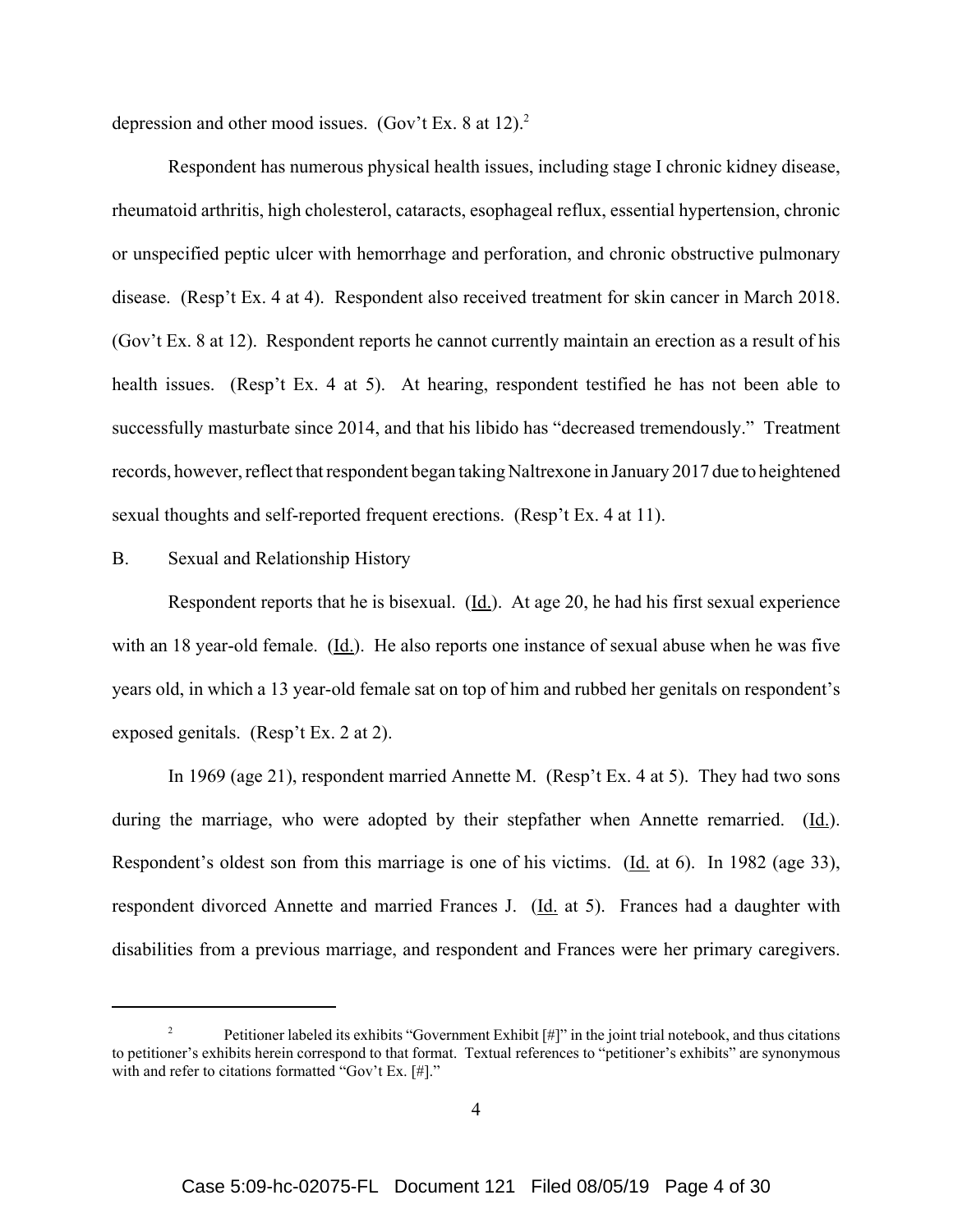depression and other mood issues. (Gov't Ex. 8 at 12).<sup>2</sup>

Respondent has numerous physical health issues, including stage I chronic kidney disease, rheumatoid arthritis, high cholesterol, cataracts, esophageal reflux, essential hypertension, chronic or unspecified peptic ulcer with hemorrhage and perforation, and chronic obstructive pulmonary disease. (Resp't Ex. 4 at 4). Respondent also received treatment for skin cancer in March 2018. (Gov't Ex. 8 at 12). Respondent reports he cannot currently maintain an erection as a result of his health issues. (Resp't Ex. 4 at 5). At hearing, respondent testified he has not been able to successfully masturbate since 2014, and that his libido has "decreased tremendously." Treatment records, however, reflect that respondent began taking Naltrexone in January 2017 due to heightened sexual thoughts and self-reported frequent erections. (Resp't Ex. 4 at 11).

# B. Sexual and Relationship History

Respondent reports that he is bisexual.  $(Id.)$ . At age 20, he had his first sexual experience with an 18 year-old female. (Id.). He also reports one instance of sexual abuse when he was five years old, in which a 13 year-old female sat on top of him and rubbed her genitals on respondent's exposed genitals. (Resp't Ex. 2 at 2).

In 1969 (age 21), respondent married Annette M. (Resp't Ex. 4 at 5). They had two sons during the marriage, who were adopted by their stepfather when Annette remarried. (Id.). Respondent's oldest son from this marriage is one of his victims. (Id. at 6). In 1982 (age 33), respondent divorced Annette and married Frances J. (Id. at 5). Frances had a daughter with disabilities from a previous marriage, and respondent and Frances were her primary caregivers.

<sup>&</sup>lt;sup>2</sup> Petitioner labeled its exhibits "Government Exhibit  $[\#]$ " in the joint trial notebook, and thus citations to petitioner's exhibits herein correspond to that format. Textual references to "petitioner's exhibits" are synonymous with and refer to citations formatted "Gov't Ex. [#]."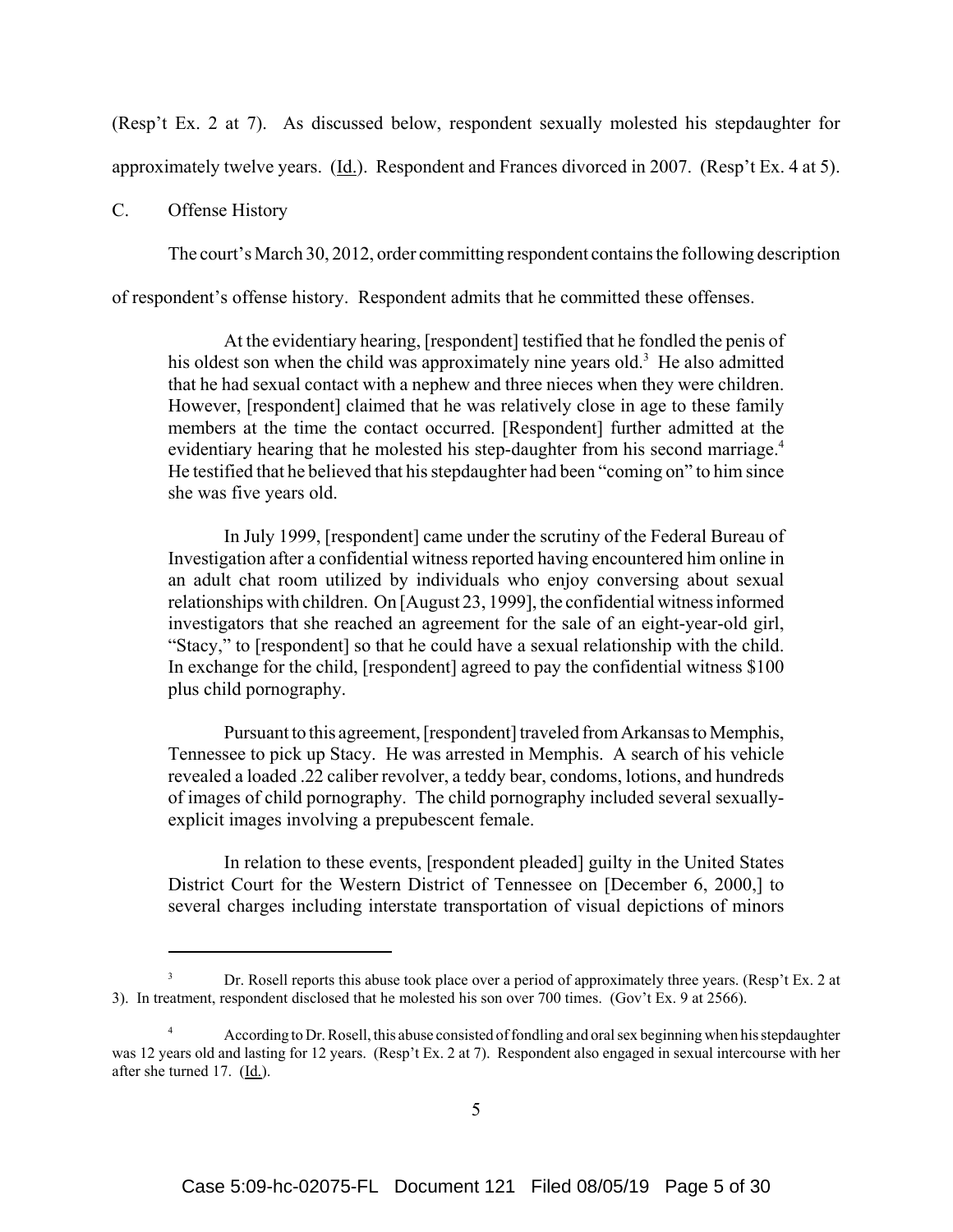(Resp't Ex. 2 at 7). As discussed below, respondent sexually molested his stepdaughter for approximately twelve years. (Id.). Respondent and Frances divorced in 2007. (Resp't Ex. 4 at 5).

#### C. Offense History

The court's March 30, 2012, order committing respondent contains the following description

of respondent's offense history. Respondent admits that he committed these offenses.

At the evidentiary hearing, [respondent] testified that he fondled the penis of his oldest son when the child was approximately nine years old.<sup>3</sup> He also admitted that he had sexual contact with a nephew and three nieces when they were children. However, [respondent] claimed that he was relatively close in age to these family members at the time the contact occurred. [Respondent] further admitted at the evidentiary hearing that he molested his step-daughter from his second marriage.<sup>4</sup> He testified that he believed that his stepdaughter had been "coming on" to him since she was five years old.

In July 1999, [respondent] came under the scrutiny of the Federal Bureau of Investigation after a confidential witness reported having encountered him online in an adult chat room utilized by individuals who enjoy conversing about sexual relationships with children. On [August 23, 1999], the confidential witness informed investigators that she reached an agreement for the sale of an eight-year-old girl, "Stacy," to [respondent] so that he could have a sexual relationship with the child. In exchange for the child, [respondent] agreed to pay the confidential witness \$100 plus child pornography.

Pursuant to this agreement, [respondent] traveled from Arkansas to Memphis, Tennessee to pick up Stacy. He was arrested in Memphis. A search of his vehicle revealed a loaded .22 caliber revolver, a teddy bear, condoms, lotions, and hundreds of images of child pornography. The child pornography included several sexuallyexplicit images involving a prepubescent female.

In relation to these events, [respondent pleaded] guilty in the United States District Court for the Western District of Tennessee on [December 6, 2000,] to several charges including interstate transportation of visual depictions of minors

<sup>3</sup> Dr. Rosell reports this abuse took place over a period of approximately three years. (Resp't Ex. 2 at 3). In treatment, respondent disclosed that he molested his son over 700 times. (Gov't Ex. 9 at 2566).

<sup>&</sup>lt;sup>4</sup> According to Dr. Rosell, this abuse consisted of fondling and oral sex beginning when his stepdaughter was 12 years old and lasting for 12 years. (Resp't Ex. 2 at 7). Respondent also engaged in sexual intercourse with her after she turned 17.  $(\underline{Id.})$ .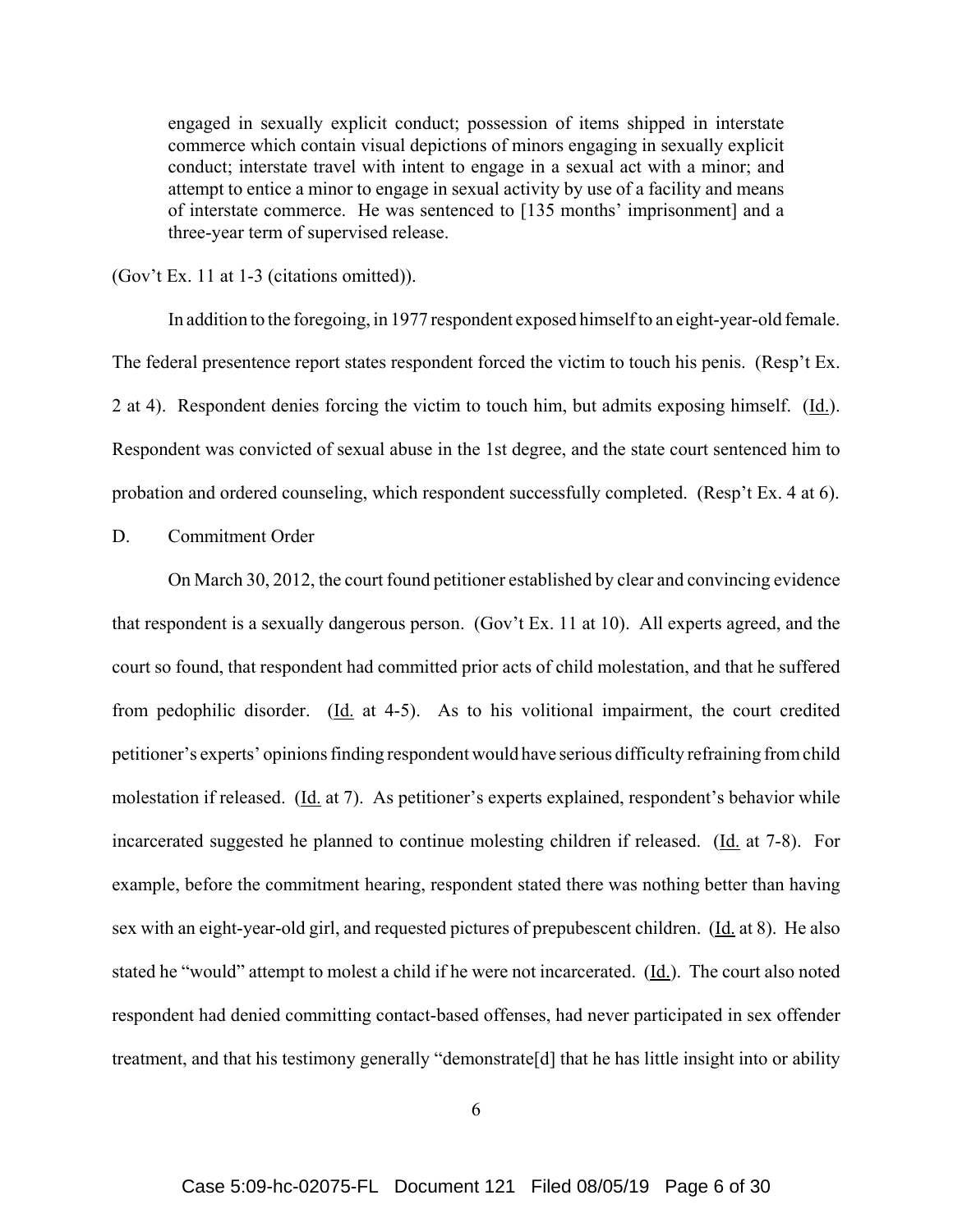engaged in sexually explicit conduct; possession of items shipped in interstate commerce which contain visual depictions of minors engaging in sexually explicit conduct; interstate travel with intent to engage in a sexual act with a minor; and attempt to entice a minor to engage in sexual activity by use of a facility and means of interstate commerce. He was sentenced to [135 months' imprisonment] and a three-year term of supervised release.

(Gov't Ex. 11 at 1-3 (citations omitted)).

In addition to the foregoing, in 1977 respondent exposed himself to an eight-year-old female. The federal presentence report states respondent forced the victim to touch his penis. (Resp't Ex. 2 at 4). Respondent denies forcing the victim to touch him, but admits exposing himself. (Id.). Respondent was convicted of sexual abuse in the 1st degree, and the state court sentenced him to probation and ordered counseling, which respondent successfully completed. (Resp't Ex. 4 at 6).

D. Commitment Order

On March 30, 2012, the court found petitioner established by clear and convincing evidence that respondent is a sexually dangerous person. (Gov't Ex. 11 at 10). All experts agreed, and the court so found, that respondent had committed prior acts of child molestation, and that he suffered from pedophilic disorder.  $(Id. at 4-5)$ . As to his volitional impairment, the court credited petitioner's experts' opinions finding respondent would have serious difficulty refraining from child molestation if released. (Id. at 7). As petitioner's experts explained, respondent's behavior while incarcerated suggested he planned to continue molesting children if released. (Id. at 7-8). For example, before the commitment hearing, respondent stated there was nothing better than having sex with an eight-year-old girl, and requested pictures of prepubescent children. (Id. at 8). He also stated he "would" attempt to molest a child if he were not incarcerated. (Id.). The court also noted respondent had denied committing contact-based offenses, had never participated in sex offender treatment, and that his testimony generally "demonstrate[d] that he has little insight into or ability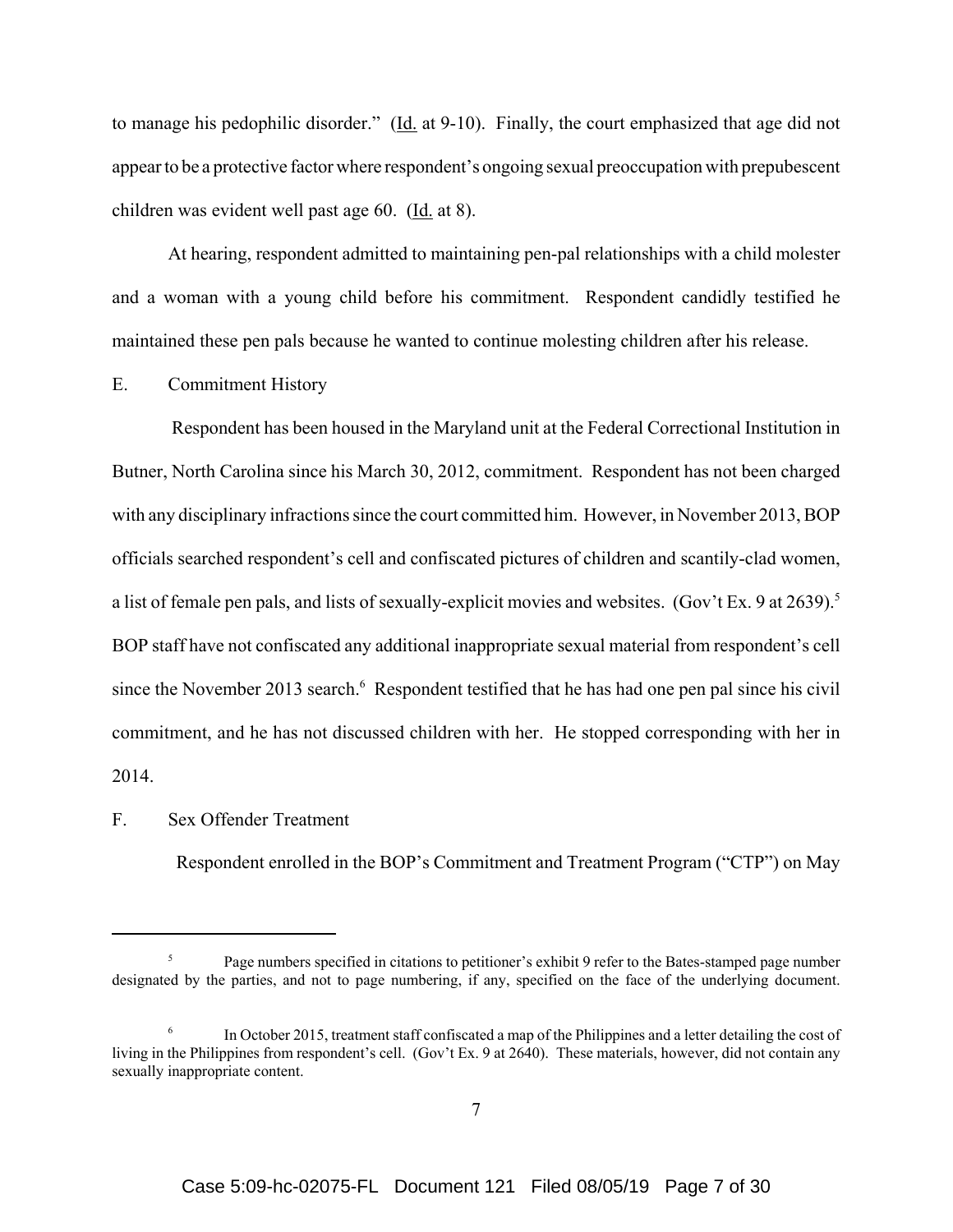to manage his pedophilic disorder." ( $\underline{Id}$ . at 9-10). Finally, the court emphasized that age did not appear to be a protective factor where respondent's ongoing sexual preoccupation with prepubescent children was evident well past age  $60.$  (Id. at 8).

At hearing, respondent admitted to maintaining pen-pal relationships with a child molester and a woman with a young child before his commitment. Respondent candidly testified he maintained these pen pals because he wanted to continue molesting children after his release.

# E. Commitment History

 Respondent has been housed in the Maryland unit at the Federal Correctional Institution in Butner, North Carolina since his March 30, 2012, commitment. Respondent has not been charged with any disciplinary infractions since the court committed him. However, in November 2013, BOP officials searched respondent's cell and confiscated pictures of children and scantily-clad women, a list of female pen pals, and lists of sexually-explicit movies and websites. (Gov't Ex. 9 at 2639).<sup>5</sup> BOP staff have not confiscated any additional inappropriate sexual material from respondent's cell since the November 2013 search.<sup>6</sup> Respondent testified that he has had one pen pal since his civil commitment, and he has not discussed children with her. He stopped corresponding with her in 2014.

#### F. Sex Offender Treatment

Respondent enrolled in the BOP's Commitment and Treatment Program ("CTP") on May

<sup>5</sup> Page numbers specified in citations to petitioner's exhibit 9 refer to the Bates-stamped page number designated by the parties, and not to page numbering, if any, specified on the face of the underlying document.

 $6 \text{ In October 2015, treatment staff confused a map of the Philippines and a letter detailing the cost of }$ living in the Philippines from respondent's cell. (Gov't Ex. 9 at 2640). These materials, however, did not contain any sexually inappropriate content.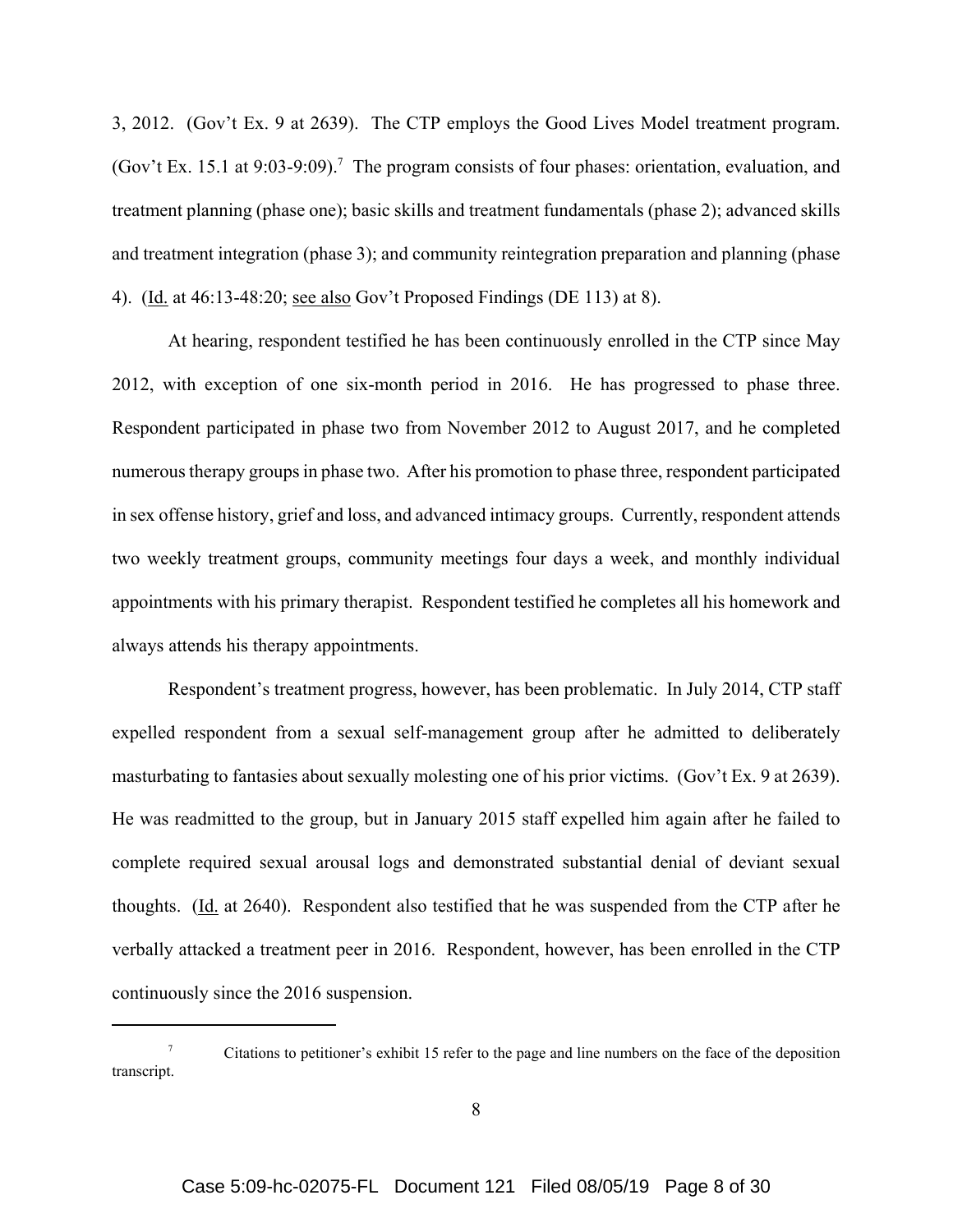3, 2012. (Gov't Ex. 9 at 2639). The CTP employs the Good Lives Model treatment program. (Gov't Ex. 15.1 at 9:03-9:09).<sup>7</sup> The program consists of four phases: orientation, evaluation, and treatment planning (phase one); basic skills and treatment fundamentals (phase 2); advanced skills and treatment integration (phase 3); and community reintegration preparation and planning (phase 4). (Id. at 46:13-48:20; see also Gov't Proposed Findings (DE 113) at 8).

At hearing, respondent testified he has been continuously enrolled in the CTP since May 2012, with exception of one six-month period in 2016. He has progressed to phase three. Respondent participated in phase two from November 2012 to August 2017, and he completed numerous therapy groups in phase two. After his promotion to phase three, respondent participated in sex offense history, grief and loss, and advanced intimacy groups. Currently, respondent attends two weekly treatment groups, community meetings four days a week, and monthly individual appointments with his primary therapist. Respondent testified he completes all his homework and always attends his therapy appointments.

Respondent's treatment progress, however, has been problematic. In July 2014, CTP staff expelled respondent from a sexual self-management group after he admitted to deliberately masturbating to fantasies about sexually molesting one of his prior victims. (Gov't Ex. 9 at 2639). He was readmitted to the group, but in January 2015 staff expelled him again after he failed to complete required sexual arousal logs and demonstrated substantial denial of deviant sexual thoughts.  $(Id. at 2640)$ . Respondent also testified that he was suspended from the CTP after he verbally attacked a treatment peer in 2016. Respondent, however, has been enrolled in the CTP continuously since the 2016 suspension.

<sup>&</sup>lt;sup>7</sup> Citations to petitioner's exhibit 15 refer to the page and line numbers on the face of the deposition transcript.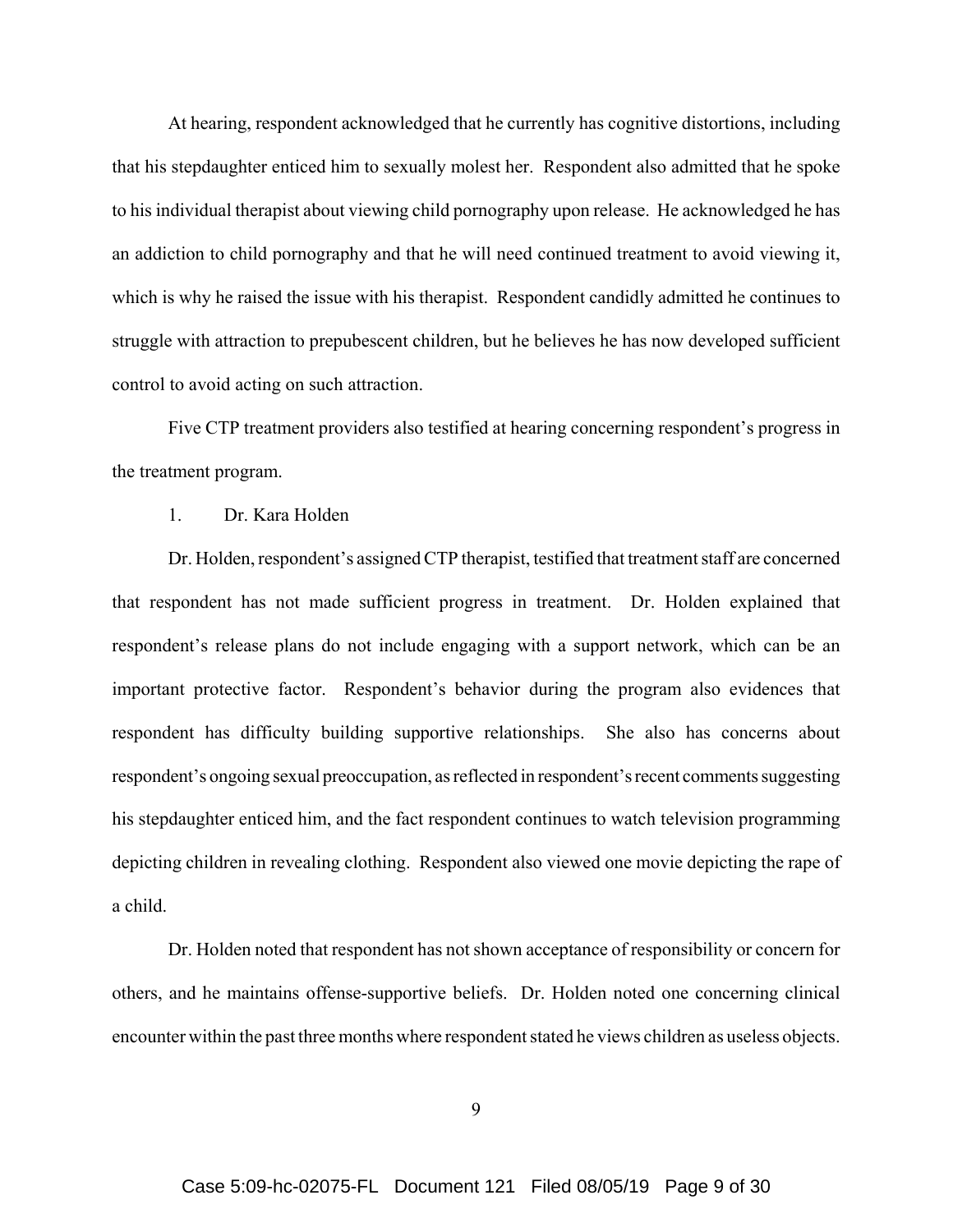At hearing, respondent acknowledged that he currently has cognitive distortions, including that his stepdaughter enticed him to sexually molest her. Respondent also admitted that he spoke to his individual therapist about viewing child pornography upon release. He acknowledged he has an addiction to child pornography and that he will need continued treatment to avoid viewing it, which is why he raised the issue with his therapist. Respondent candidly admitted he continues to struggle with attraction to prepubescent children, but he believes he has now developed sufficient control to avoid acting on such attraction.

Five CTP treatment providers also testified at hearing concerning respondent's progress in the treatment program.

# 1. Dr. Kara Holden

Dr. Holden, respondent's assigned CTP therapist, testified that treatment staff are concerned that respondent has not made sufficient progress in treatment. Dr. Holden explained that respondent's release plans do not include engaging with a support network, which can be an important protective factor. Respondent's behavior during the program also evidences that respondent has difficulty building supportive relationships. She also has concerns about respondent's ongoing sexual preoccupation, as reflected in respondent's recent comments suggesting his stepdaughter enticed him, and the fact respondent continues to watch television programming depicting children in revealing clothing. Respondent also viewed one movie depicting the rape of a child.

Dr. Holden noted that respondent has not shown acceptance of responsibility or concern for others, and he maintains offense-supportive beliefs. Dr. Holden noted one concerning clinical encounter within the past three months where respondent stated he views children as useless objects.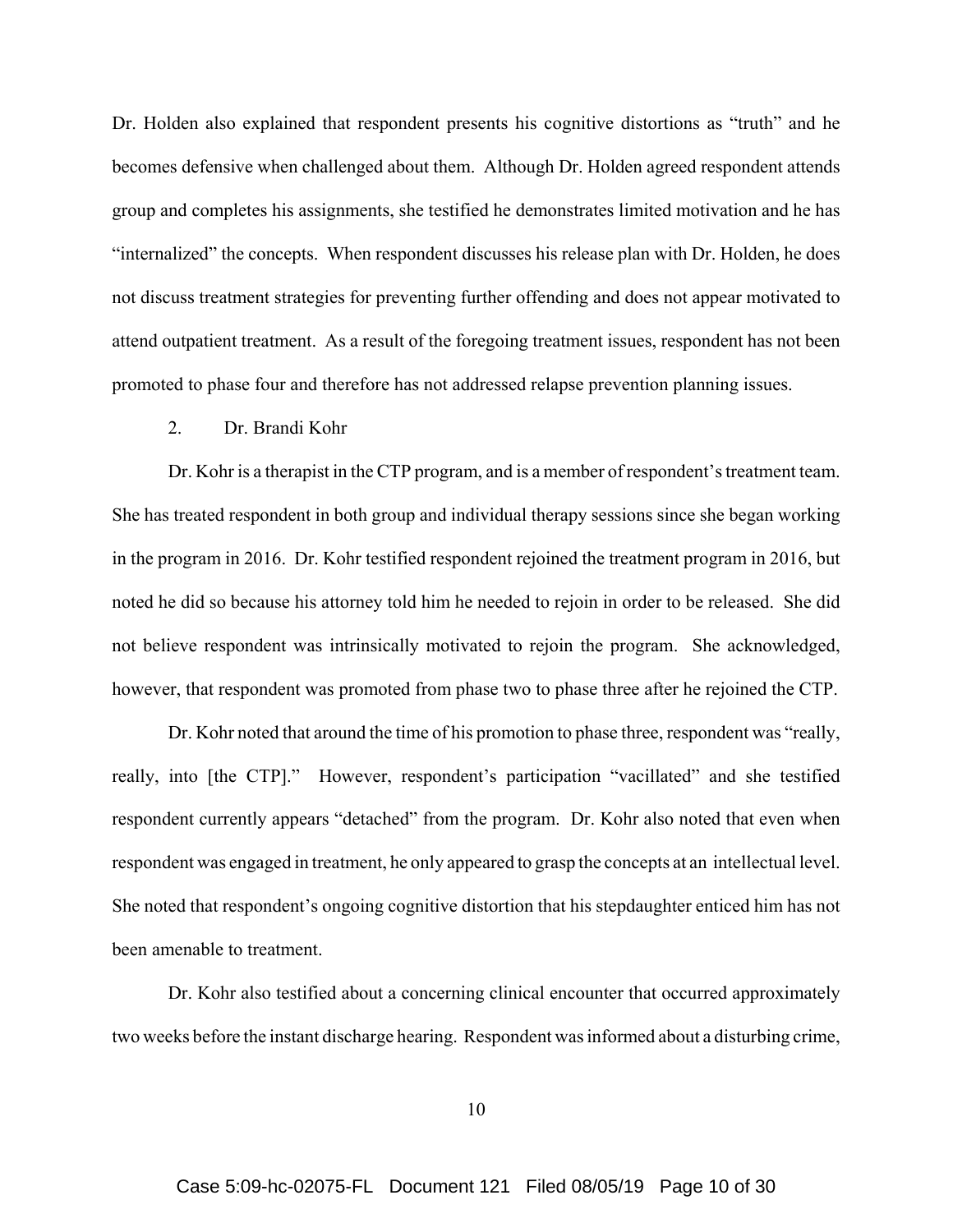Dr. Holden also explained that respondent presents his cognitive distortions as "truth" and he becomes defensive when challenged about them. Although Dr. Holden agreed respondent attends group and completes his assignments, she testified he demonstrates limited motivation and he has "internalized" the concepts. When respondent discusses his release plan with Dr. Holden, he does not discuss treatment strategies for preventing further offending and does not appear motivated to attend outpatient treatment. As a result of the foregoing treatment issues, respondent has not been promoted to phase four and therefore has not addressed relapse prevention planning issues.

#### 2. Dr. Brandi Kohr

Dr. Kohr is a therapist in the CTP program, and is a member of respondent's treatment team. She has treated respondent in both group and individual therapy sessions since she began working in the program in 2016. Dr. Kohr testified respondent rejoined the treatment program in 2016, but noted he did so because his attorney told him he needed to rejoin in order to be released. She did not believe respondent was intrinsically motivated to rejoin the program. She acknowledged, however, that respondent was promoted from phase two to phase three after he rejoined the CTP.

Dr. Kohr noted that around the time of his promotion to phase three, respondent was "really, really, into [the CTP]." However, respondent's participation "vacillated" and she testified respondent currently appears "detached" from the program. Dr. Kohr also noted that even when respondent was engaged in treatment, he only appeared to grasp the concepts at an intellectual level. She noted that respondent's ongoing cognitive distortion that his stepdaughter enticed him has not been amenable to treatment.

Dr. Kohr also testified about a concerning clinical encounter that occurred approximately two weeks before the instant discharge hearing. Respondent was informed about a disturbing crime,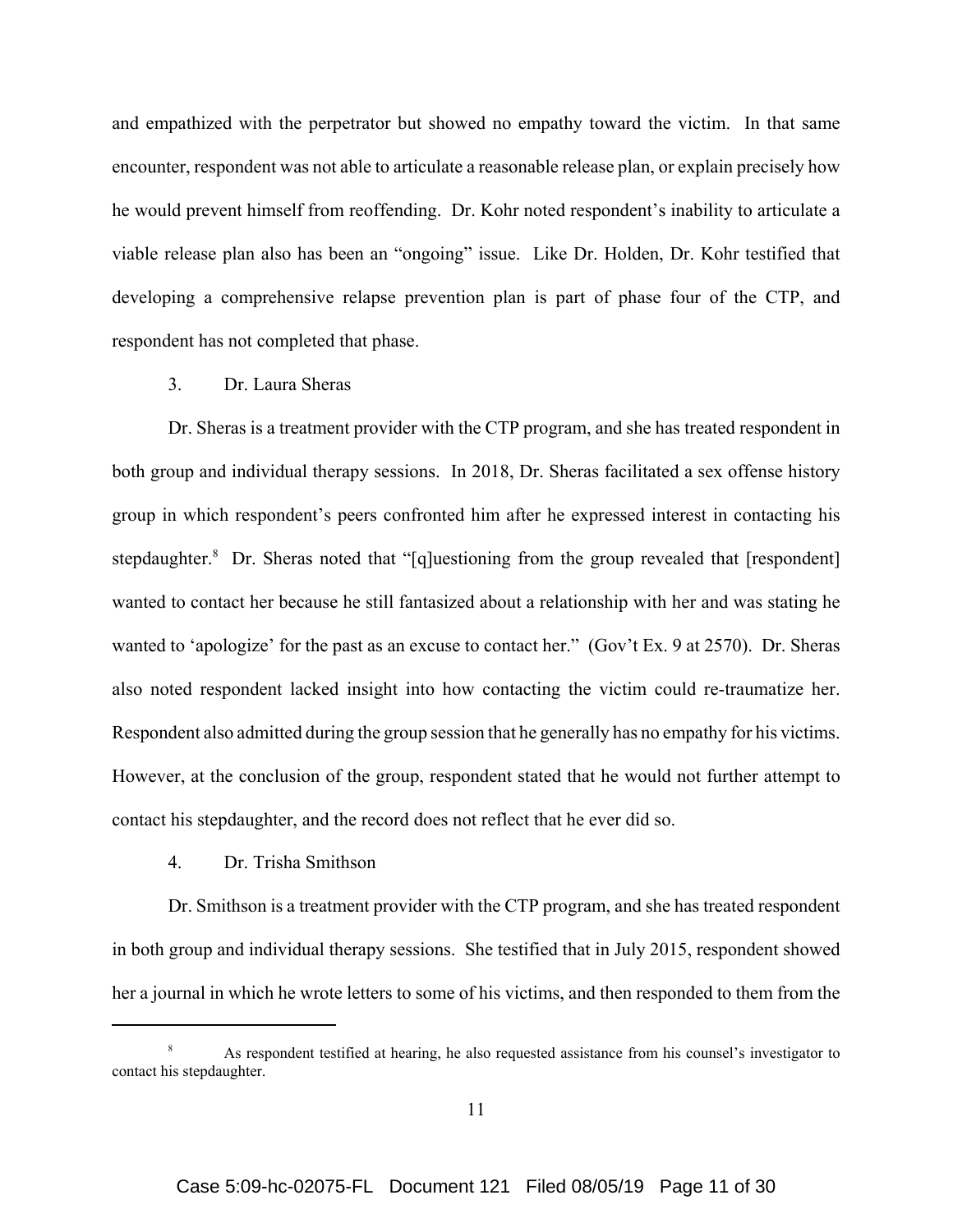and empathized with the perpetrator but showed no empathy toward the victim. In that same encounter, respondent was not able to articulate a reasonable release plan, or explain precisely how he would prevent himself from reoffending. Dr. Kohr noted respondent's inability to articulate a viable release plan also has been an "ongoing" issue. Like Dr. Holden, Dr. Kohr testified that developing a comprehensive relapse prevention plan is part of phase four of the CTP, and respondent has not completed that phase.

# 3. Dr. Laura Sheras

Dr. Sheras is a treatment provider with the CTP program, and she has treated respondent in both group and individual therapy sessions. In 2018, Dr. Sheras facilitated a sex offense history group in which respondent's peers confronted him after he expressed interest in contacting his stepdaughter.<sup>8</sup> Dr. Sheras noted that "[q]uestioning from the group revealed that [respondent] wanted to contact her because he still fantasized about a relationship with her and was stating he wanted to 'apologize' for the past as an excuse to contact her." (Gov't Ex. 9 at 2570). Dr. Sheras also noted respondent lacked insight into how contacting the victim could re-traumatize her. Respondent also admitted during the group session that he generally has no empathy for his victims. However, at the conclusion of the group, respondent stated that he would not further attempt to contact his stepdaughter, and the record does not reflect that he ever did so.

4. Dr. Trisha Smithson

Dr. Smithson is a treatment provider with the CTP program, and she has treated respondent in both group and individual therapy sessions. She testified that in July 2015, respondent showed her a journal in which he wrote letters to some of his victims, and then responded to them from the

As respondent testified at hearing, he also requested assistance from his counsel's investigator to contact his stepdaughter.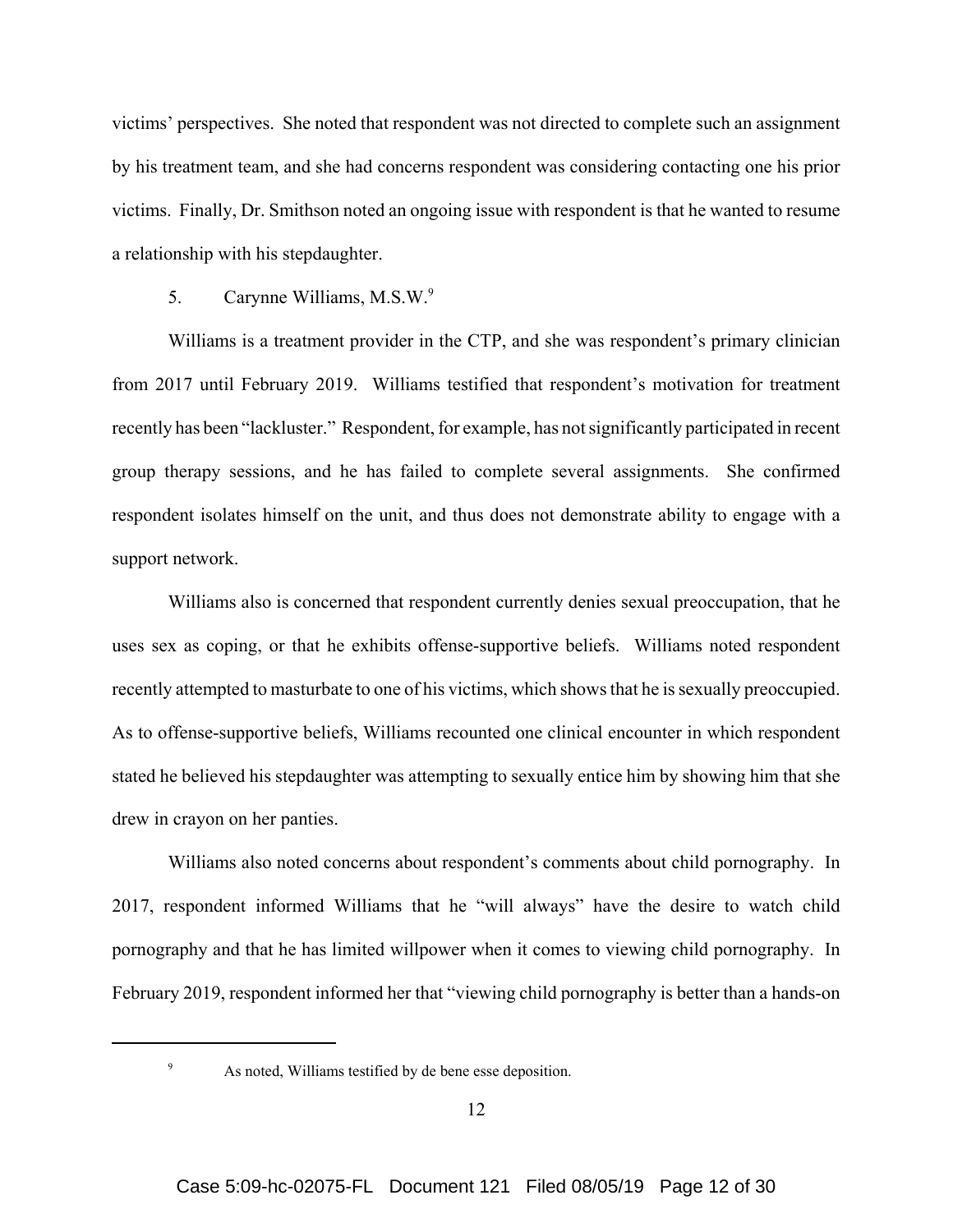victims' perspectives. She noted that respondent was not directed to complete such an assignment by his treatment team, and she had concerns respondent was considering contacting one his prior victims. Finally, Dr. Smithson noted an ongoing issue with respondent is that he wanted to resume a relationship with his stepdaughter.

#### 5. Carynne Williams, M.S.W.9

Williams is a treatment provider in the CTP, and she was respondent's primary clinician from 2017 until February 2019. Williams testified that respondent's motivation for treatment recently has been "lackluster." Respondent, for example, has not significantly participated in recent group therapy sessions, and he has failed to complete several assignments. She confirmed respondent isolates himself on the unit, and thus does not demonstrate ability to engage with a support network.

Williams also is concerned that respondent currently denies sexual preoccupation, that he uses sex as coping, or that he exhibits offense-supportive beliefs. Williams noted respondent recently attempted to masturbate to one of his victims, which shows that he is sexually preoccupied. As to offense-supportive beliefs, Williams recounted one clinical encounter in which respondent stated he believed his stepdaughter was attempting to sexually entice him by showing him that she drew in crayon on her panties.

Williams also noted concerns about respondent's comments about child pornography. In 2017, respondent informed Williams that he "will always" have the desire to watch child pornography and that he has limited willpower when it comes to viewing child pornography. In February 2019, respondent informed her that "viewing child pornography is better than a hands-on

<sup>9</sup> As noted, Williams testified by de bene esse deposition.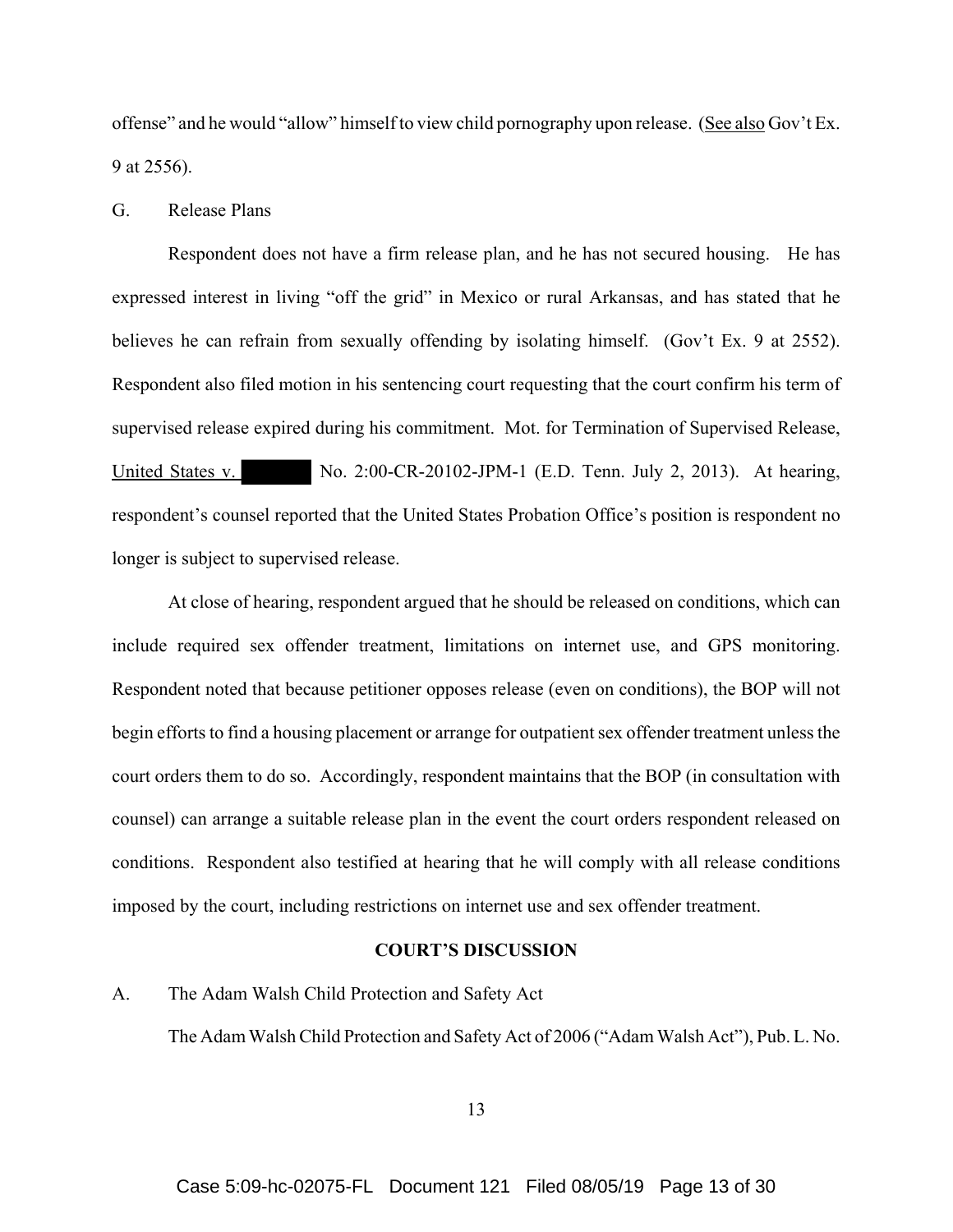offense" and he would "allow" himself to view child pornography upon release. (See also Gov't Ex. 9 at 2556).

#### G. Release Plans

Respondent does not have a firm release plan, and he has not secured housing. He has expressed interest in living "off the grid" in Mexico or rural Arkansas, and has stated that he believes he can refrain from sexually offending by isolating himself. (Gov't Ex. 9 at 2552). Respondent also filed motion in his sentencing court requesting that the court confirm his term of supervised release expired during his commitment. Mot. for Termination of Supervised Release, United States v. No. 2:00-CR-20102-JPM-1 (E.D. Tenn. July 2, 2013). At hearing, respondent's counsel reported that the United States Probation Office's position is respondent no longer is subject to supervised release.

At close of hearing, respondent argued that he should be released on conditions, which can include required sex offender treatment, limitations on internet use, and GPS monitoring. Respondent noted that because petitioner opposes release (even on conditions), the BOP will not begin efforts to find a housing placement or arrange for outpatient sex offender treatment unless the court orders them to do so. Accordingly, respondent maintains that the BOP (in consultation with counsel) can arrange a suitable release plan in the event the court orders respondent released on conditions. Respondent also testified at hearing that he will comply with all release conditions imposed by the court, including restrictions on internet use and sex offender treatment.

# **COURT'S DISCUSSION**

#### A. The Adam Walsh Child Protection and Safety Act

The Adam Walsh Child Protection and Safety Act of 2006 ("Adam Walsh Act"), Pub. L. No.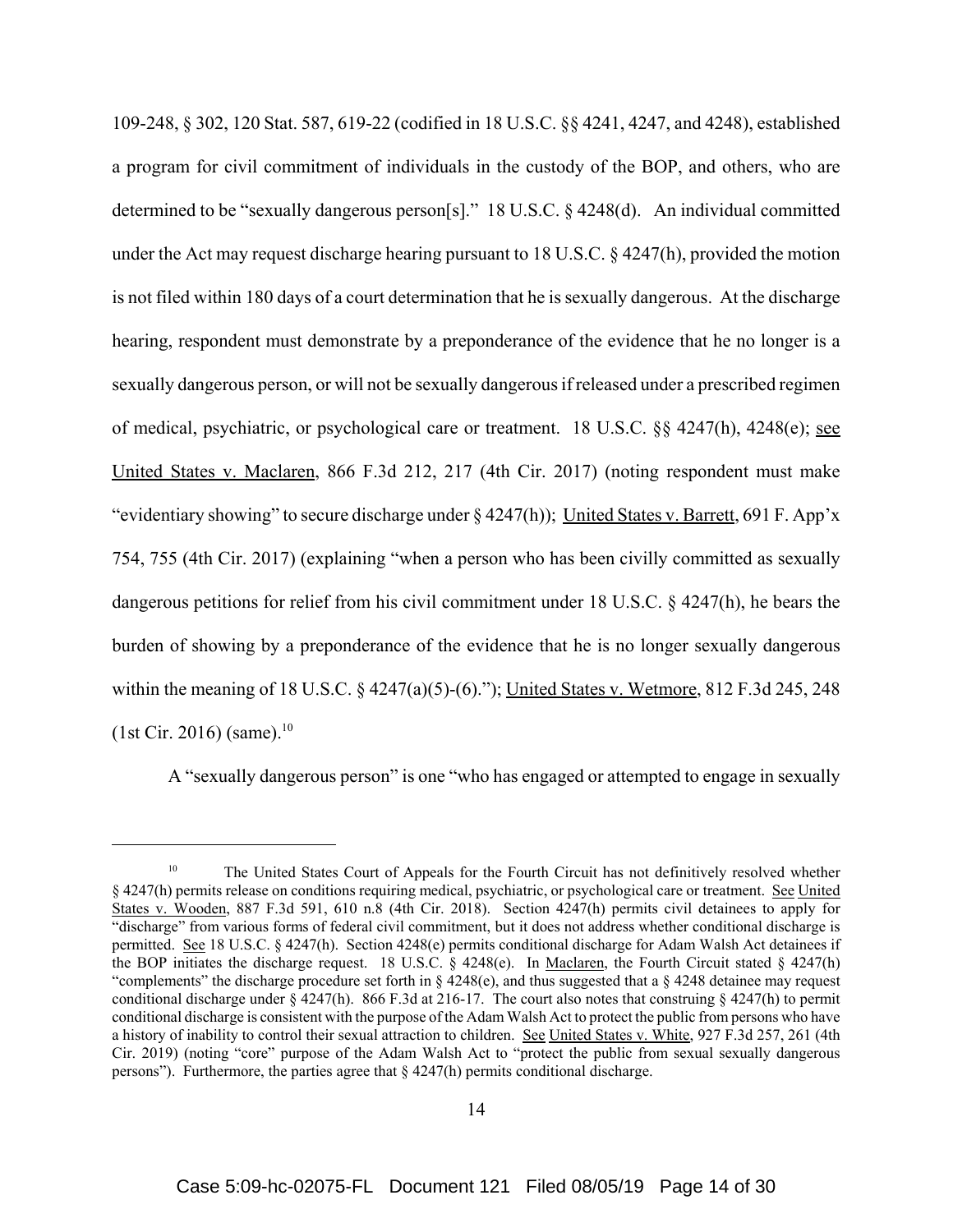109-248, § 302, 120 Stat. 587, 619-22 (codified in 18 U.S.C. §§ 4241, 4247, and 4248), established a program for civil commitment of individuals in the custody of the BOP, and others, who are determined to be "sexually dangerous person[s]." 18 U.S.C. § 4248(d). An individual committed under the Act may request discharge hearing pursuant to 18 U.S.C. § 4247(h), provided the motion is not filed within 180 days of a court determination that he is sexually dangerous. At the discharge hearing, respondent must demonstrate by a preponderance of the evidence that he no longer is a sexually dangerous person, or will not be sexually dangerous if released under a prescribed regimen of medical, psychiatric, or psychological care or treatment. 18 U.S.C. §§ 4247(h), 4248(e); see United States v. Maclaren, 866 F.3d 212, 217 (4th Cir. 2017) (noting respondent must make "evidentiary showing" to secure discharge under § 4247(h)); United States v. Barrett, 691 F. App'x 754, 755 (4th Cir. 2017) (explaining "when a person who has been civilly committed as sexually dangerous petitions for relief from his civil commitment under 18 U.S.C. § 4247(h), he bears the burden of showing by a preponderance of the evidence that he is no longer sexually dangerous within the meaning of 18 U.S.C.  $\S$  4247(a)(5)-(6)."); United States v. Wetmore, 812 F.3d 245, 248  $(1st Cir. 2016)$  (same).<sup>10</sup>

A "sexually dangerous person" is one "who has engaged or attempted to engage in sexually

<sup>&</sup>lt;sup>10</sup> The United States Court of Appeals for the Fourth Circuit has not definitively resolved whether § 4247(h) permits release on conditions requiring medical, psychiatric, or psychological care or treatment. See United States v. Wooden, 887 F.3d 591, 610 n.8 (4th Cir. 2018). Section 4247(h) permits civil detainees to apply for "discharge" from various forms of federal civil commitment, but it does not address whether conditional discharge is permitted. See 18 U.S.C. § 4247(h). Section 4248(e) permits conditional discharge for Adam Walsh Act detainees if the BOP initiates the discharge request. 18 U.S.C. § 4248(e). In Maclaren, the Fourth Circuit stated § 4247(h) "complements" the discharge procedure set forth in § 4248(e), and thus suggested that a § 4248 detainee may request conditional discharge under § 4247(h). 866 F.3d at 216-17. The court also notes that construing § 4247(h) to permit conditional discharge is consistent with the purpose of the Adam Walsh Act to protect the public from persons who have a history of inability to control their sexual attraction to children. See United States v. White, 927 F.3d 257, 261 (4th Cir. 2019) (noting "core" purpose of the Adam Walsh Act to "protect the public from sexual sexually dangerous persons"). Furthermore, the parties agree that § 4247(h) permits conditional discharge.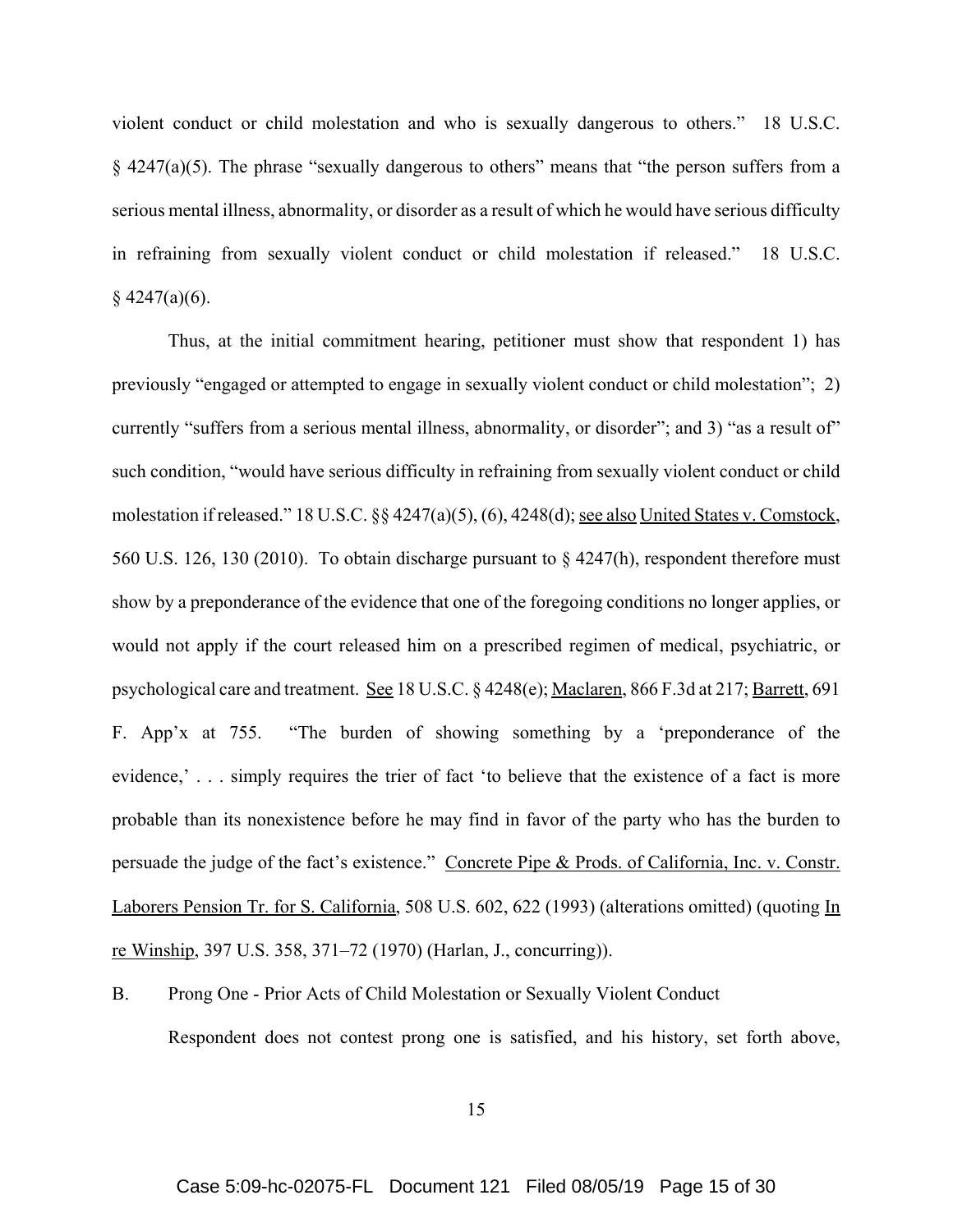violent conduct or child molestation and who is sexually dangerous to others." 18 U.S.C.  $§$  4247(a)(5). The phrase "sexually dangerous to others" means that "the person suffers from a serious mental illness, abnormality, or disorder as a result of which he would have serious difficulty in refraining from sexually violent conduct or child molestation if released." 18 U.S.C.  $§$  4247(a)(6).

Thus, at the initial commitment hearing, petitioner must show that respondent 1) has previously "engaged or attempted to engage in sexually violent conduct or child molestation"; 2) currently "suffers from a serious mental illness, abnormality, or disorder"; and 3) "as a result of" such condition, "would have serious difficulty in refraining from sexually violent conduct or child molestation if released." 18 U.S.C. §§ 4247(a)(5), (6), 4248(d); see also United States v. Comstock, 560 U.S. 126, 130 (2010). To obtain discharge pursuant to § 4247(h), respondent therefore must show by a preponderance of the evidence that one of the foregoing conditions no longer applies, or would not apply if the court released him on a prescribed regimen of medical, psychiatric, or psychological care and treatment. See 18 U.S.C. § 4248(e); Maclaren, 866 F.3d at 217; Barrett, 691 F. App'x at 755. "The burden of showing something by a 'preponderance of the evidence,'... simply requires the trier of fact 'to believe that the existence of a fact is more probable than its nonexistence before he may find in favor of the party who has the burden to persuade the judge of the fact's existence." Concrete Pipe & Prods. of California, Inc. v. Constr. Laborers Pension Tr. for S. California, 508 U.S. 602, 622 (1993) (alterations omitted) (quoting In re Winship, 397 U.S. 358, 371–72 (1970) (Harlan, J., concurring)).

B. Prong One - Prior Acts of Child Molestation or Sexually Violent Conduct Respondent does not contest prong one is satisfied, and his history, set forth above,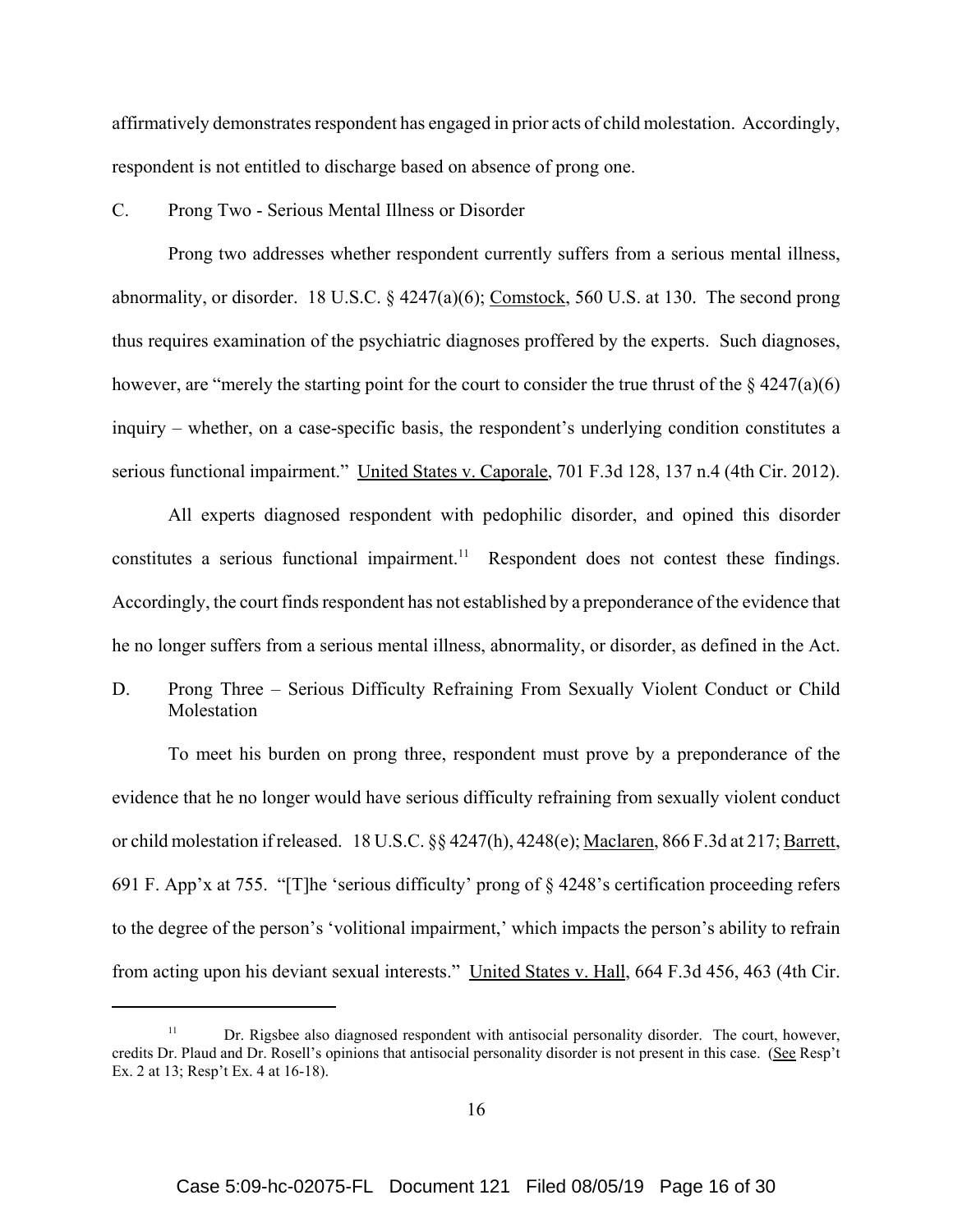affirmatively demonstrates respondent has engaged in prior acts of child molestation. Accordingly, respondent is not entitled to discharge based on absence of prong one.

#### C. Prong Two - Serious Mental Illness or Disorder

Prong two addresses whether respondent currently suffers from a serious mental illness, abnormality, or disorder. 18 U.S.C. § 4247(a)(6); Comstock, 560 U.S. at 130. The second prong thus requires examination of the psychiatric diagnoses proffered by the experts. Such diagnoses, however, are "merely the starting point for the court to consider the true thrust of the  $\S$  4247(a)(6) inquiry – whether, on a case-specific basis, the respondent's underlying condition constitutes a serious functional impairment." United States v. Caporale, 701 F.3d 128, 137 n.4 (4th Cir. 2012).

All experts diagnosed respondent with pedophilic disorder, and opined this disorder constitutes a serious functional impairment.<sup>11</sup> Respondent does not contest these findings. Accordingly, the court finds respondent has not established by a preponderance of the evidence that he no longer suffers from a serious mental illness, abnormality, or disorder, as defined in the Act.

D. Prong Three – Serious Difficulty Refraining From Sexually Violent Conduct or Child Molestation

To meet his burden on prong three, respondent must prove by a preponderance of the evidence that he no longer would have serious difficulty refraining from sexually violent conduct or child molestation if released. 18 U.S.C. §§ 4247(h), 4248(e); Maclaren, 866 F.3d at 217; Barrett, 691 F. App'x at 755. "[T]he 'serious difficulty' prong of § 4248's certification proceeding refers to the degree of the person's 'volitional impairment,' which impacts the person's ability to refrain from acting upon his deviant sexual interests." United States v. Hall, 664 F.3d 456, 463 (4th Cir.

 $11$  Dr. Rigsbee also diagnosed respondent with antisocial personality disorder. The court, however, credits Dr. Plaud and Dr. Rosell's opinions that antisocial personality disorder is not present in this case. (See Resp't Ex. 2 at 13; Resp't Ex. 4 at 16-18).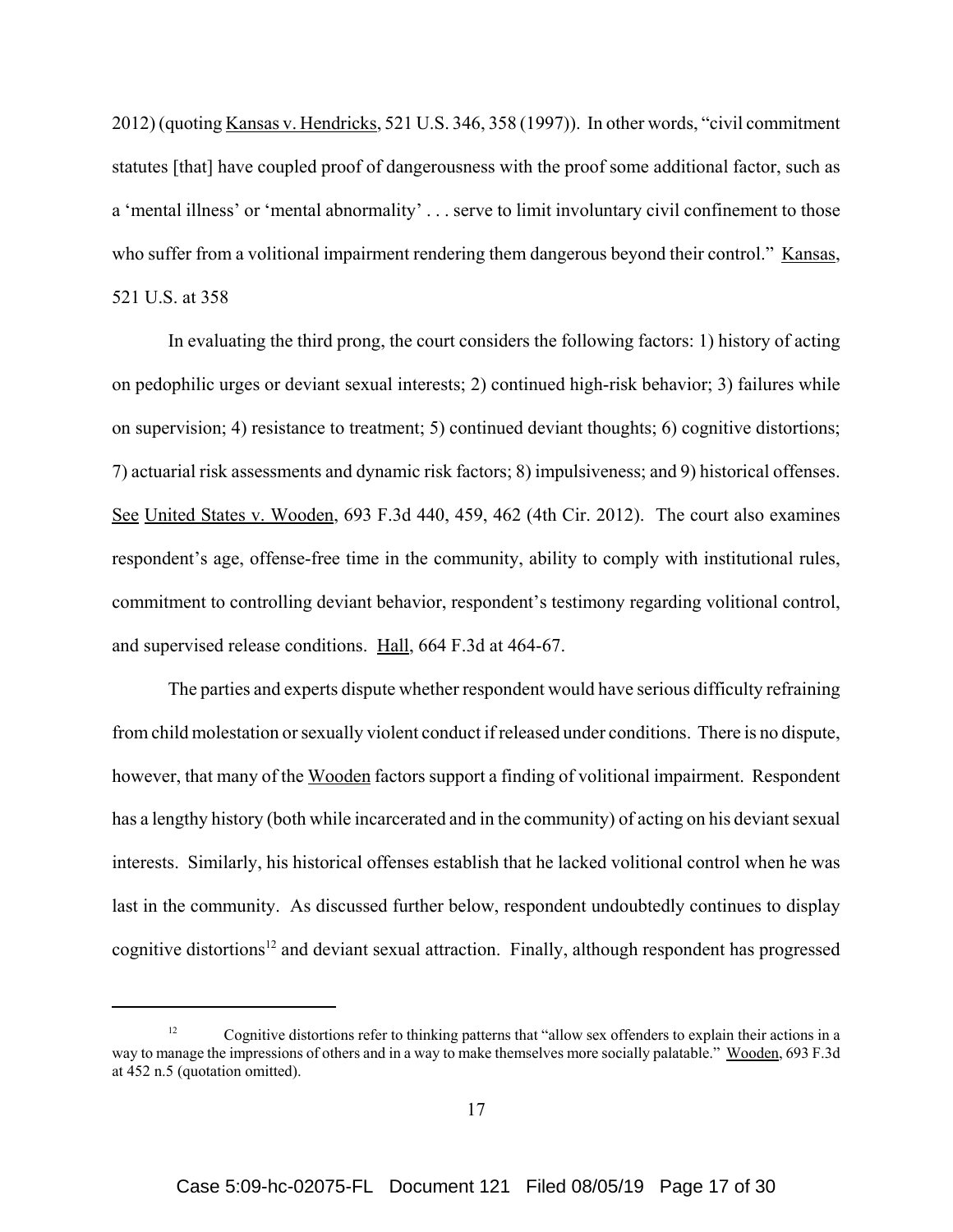2012) (quoting Kansas v. Hendricks, 521 U.S. 346, 358 (1997)). In other words, "civil commitment statutes [that] have coupled proof of dangerousness with the proof some additional factor, such as a 'mental illness' or 'mental abnormality' . . . serve to limit involuntary civil confinement to those who suffer from a volitional impairment rendering them dangerous beyond their control." Kansas, 521 U.S. at 358

In evaluating the third prong, the court considers the following factors: 1) history of acting on pedophilic urges or deviant sexual interests; 2) continued high-risk behavior; 3) failures while on supervision; 4) resistance to treatment; 5) continued deviant thoughts; 6) cognitive distortions; 7) actuarial risk assessments and dynamic risk factors; 8) impulsiveness; and 9) historical offenses. See United States v. Wooden, 693 F.3d 440, 459, 462 (4th Cir. 2012). The court also examines respondent's age, offense-free time in the community, ability to comply with institutional rules, commitment to controlling deviant behavior, respondent's testimony regarding volitional control, and supervised release conditions. Hall, 664 F.3d at 464-67.

The parties and experts dispute whether respondent would have serious difficulty refraining from child molestation or sexually violent conduct if released under conditions. There is no dispute, however, that many of the Wooden factors support a finding of volitional impairment. Respondent has a lengthy history (both while incarcerated and in the community) of acting on his deviant sexual interests. Similarly, his historical offenses establish that he lacked volitional control when he was last in the community. As discussed further below, respondent undoubtedly continues to display cognitive distortions<sup>12</sup> and deviant sexual attraction. Finally, although respondent has progressed

<sup>&</sup>lt;sup>12</sup> Cognitive distortions refer to thinking patterns that "allow sex offenders to explain their actions in a way to manage the impressions of others and in a way to make themselves more socially palatable." Wooden, 693 F.3d at 452 n.5 (quotation omitted).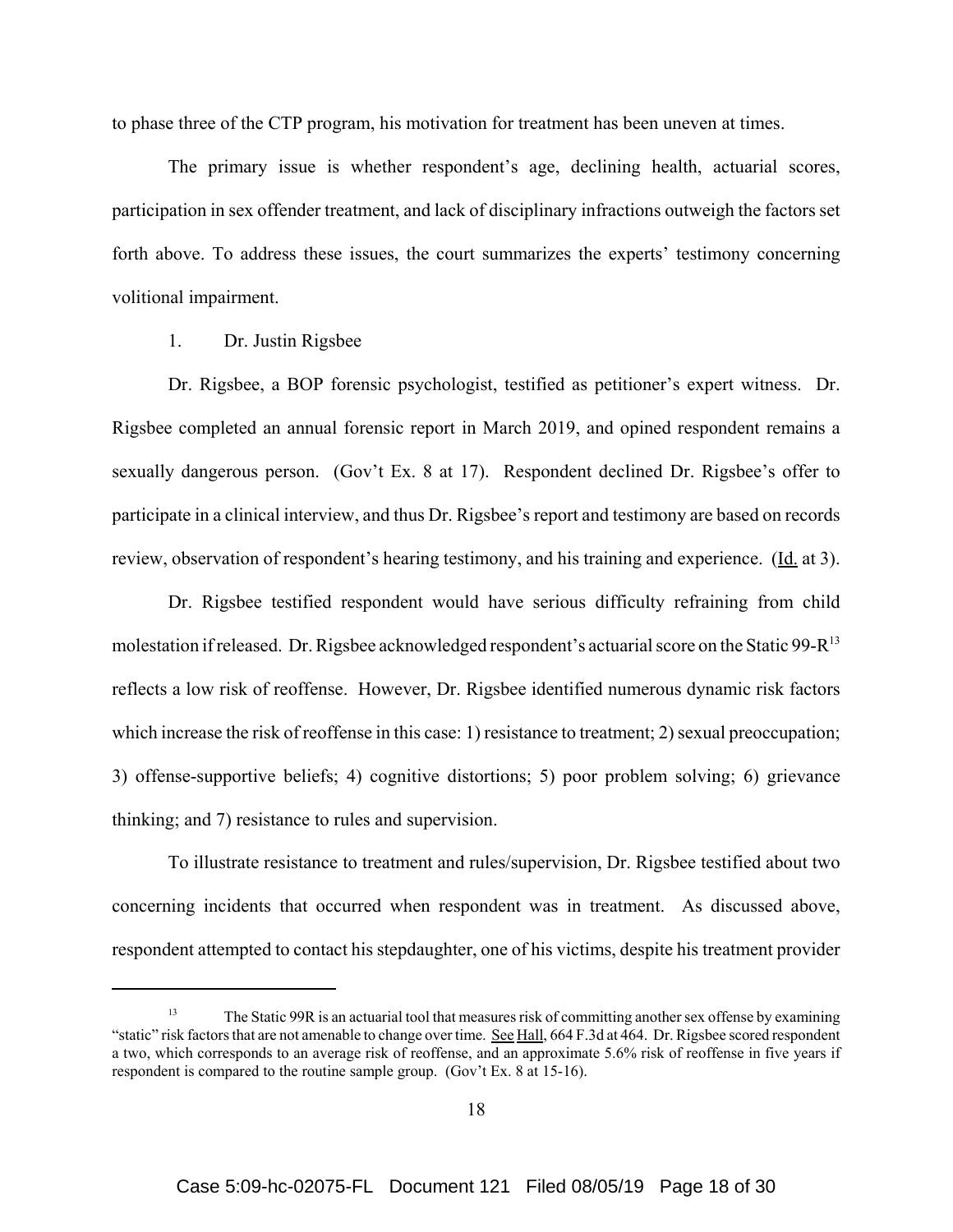to phase three of the CTP program, his motivation for treatment has been uneven at times.

The primary issue is whether respondent's age, declining health, actuarial scores, participation in sex offender treatment, and lack of disciplinary infractions outweigh the factors set forth above. To address these issues, the court summarizes the experts' testimony concerning volitional impairment.

## 1. Dr. Justin Rigsbee

Dr. Rigsbee, a BOP forensic psychologist, testified as petitioner's expert witness. Dr. Rigsbee completed an annual forensic report in March 2019, and opined respondent remains a sexually dangerous person. (Gov't Ex. 8 at 17). Respondent declined Dr. Rigsbee's offer to participate in a clinical interview, and thus Dr. Rigsbee's report and testimony are based on records review, observation of respondent's hearing testimony, and his training and experience. (Id. at 3).

Dr. Rigsbee testified respondent would have serious difficulty refraining from child molestation if released. Dr. Rigsbee acknowledged respondent's actuarial score on the Static 99-R<sup>13</sup> reflects a low risk of reoffense. However, Dr. Rigsbee identified numerous dynamic risk factors which increase the risk of reoffense in this case: 1) resistance to treatment; 2) sexual preoccupation; 3) offense-supportive beliefs; 4) cognitive distortions; 5) poor problem solving; 6) grievance thinking; and 7) resistance to rules and supervision.

To illustrate resistance to treatment and rules/supervision, Dr. Rigsbee testified about two concerning incidents that occurred when respondent was in treatment. As discussed above, respondent attempted to contact his stepdaughter, one of his victims, despite his treatment provider

<sup>&</sup>lt;sup>13</sup> The Static 99R is an actuarial tool that measures risk of committing another sex offense by examining "static" risk factors that are not amenable to change over time. See Hall, 664 F.3d at 464. Dr. Rigsbee scored respondent a two, which corresponds to an average risk of reoffense, and an approximate 5.6% risk of reoffense in five years if respondent is compared to the routine sample group. (Gov't Ex. 8 at 15-16).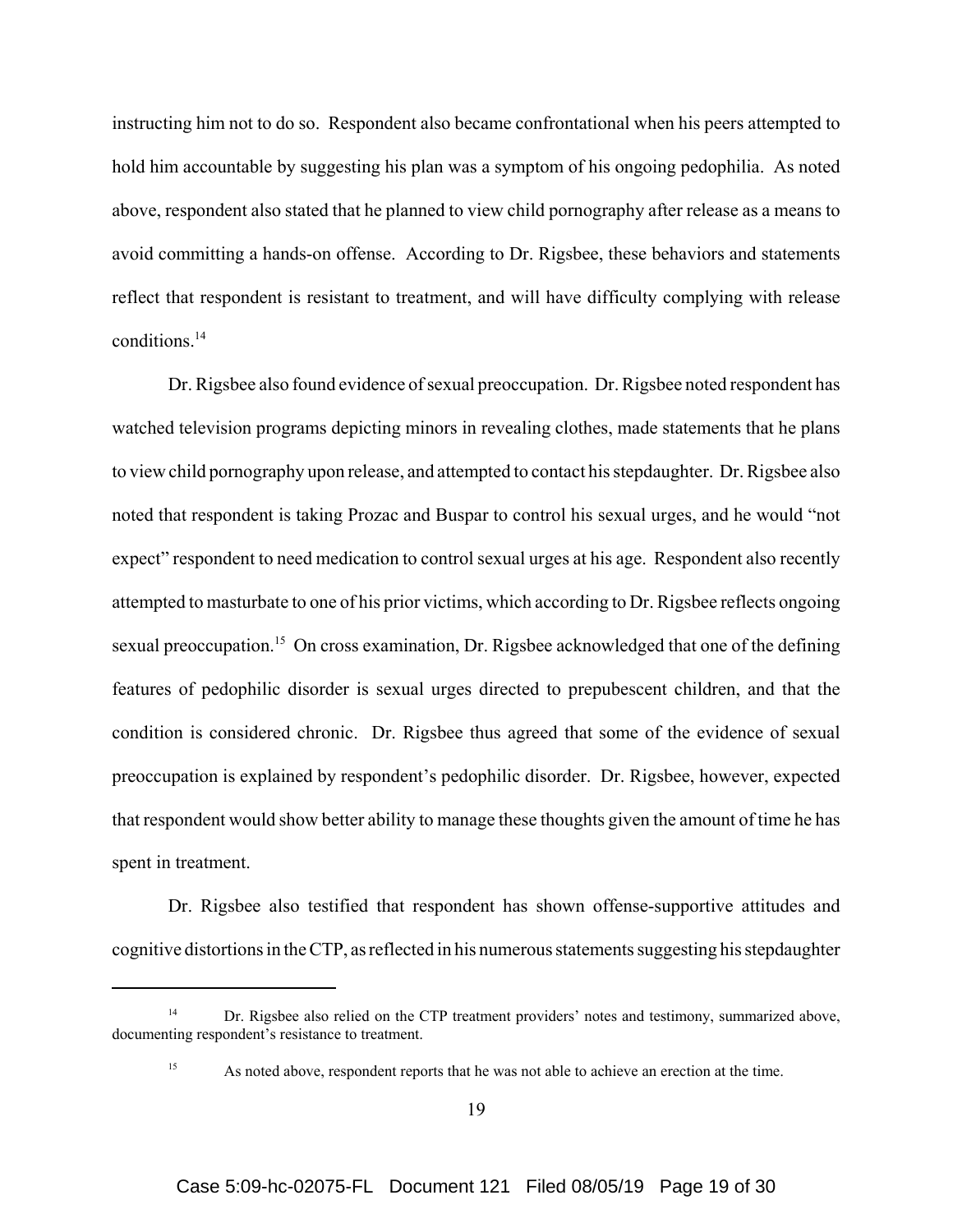instructing him not to do so. Respondent also became confrontational when his peers attempted to hold him accountable by suggesting his plan was a symptom of his ongoing pedophilia. As noted above, respondent also stated that he planned to view child pornography after release as a means to avoid committing a hands-on offense. According to Dr. Rigsbee, these behaviors and statements reflect that respondent is resistant to treatment, and will have difficulty complying with release conditions.14

Dr. Rigsbee also found evidence of sexual preoccupation. Dr. Rigsbee noted respondent has watched television programs depicting minors in revealing clothes, made statements that he plans to view child pornography upon release, and attempted to contact his stepdaughter. Dr. Rigsbee also noted that respondent is taking Prozac and Buspar to control his sexual urges, and he would "not expect" respondent to need medication to control sexual urges at his age. Respondent also recently attempted to masturbate to one of his prior victims, which according to Dr. Rigsbee reflects ongoing sexual preoccupation.<sup>15</sup> On cross examination, Dr. Rigsbee acknowledged that one of the defining features of pedophilic disorder is sexual urges directed to prepubescent children, and that the condition is considered chronic. Dr. Rigsbee thus agreed that some of the evidence of sexual preoccupation is explained by respondent's pedophilic disorder. Dr. Rigsbee, however, expected that respondent would show better ability to manage these thoughts given the amount of time he has spent in treatment.

Dr. Rigsbee also testified that respondent has shown offense-supportive attitudes and cognitive distortions in the CTP, as reflected in his numerous statements suggesting his stepdaughter

<sup>&</sup>lt;sup>14</sup> Dr. Rigsbee also relied on the CTP treatment providers' notes and testimony, summarized above, documenting respondent's resistance to treatment.

<sup>&</sup>lt;sup>15</sup> As noted above, respondent reports that he was not able to achieve an erection at the time.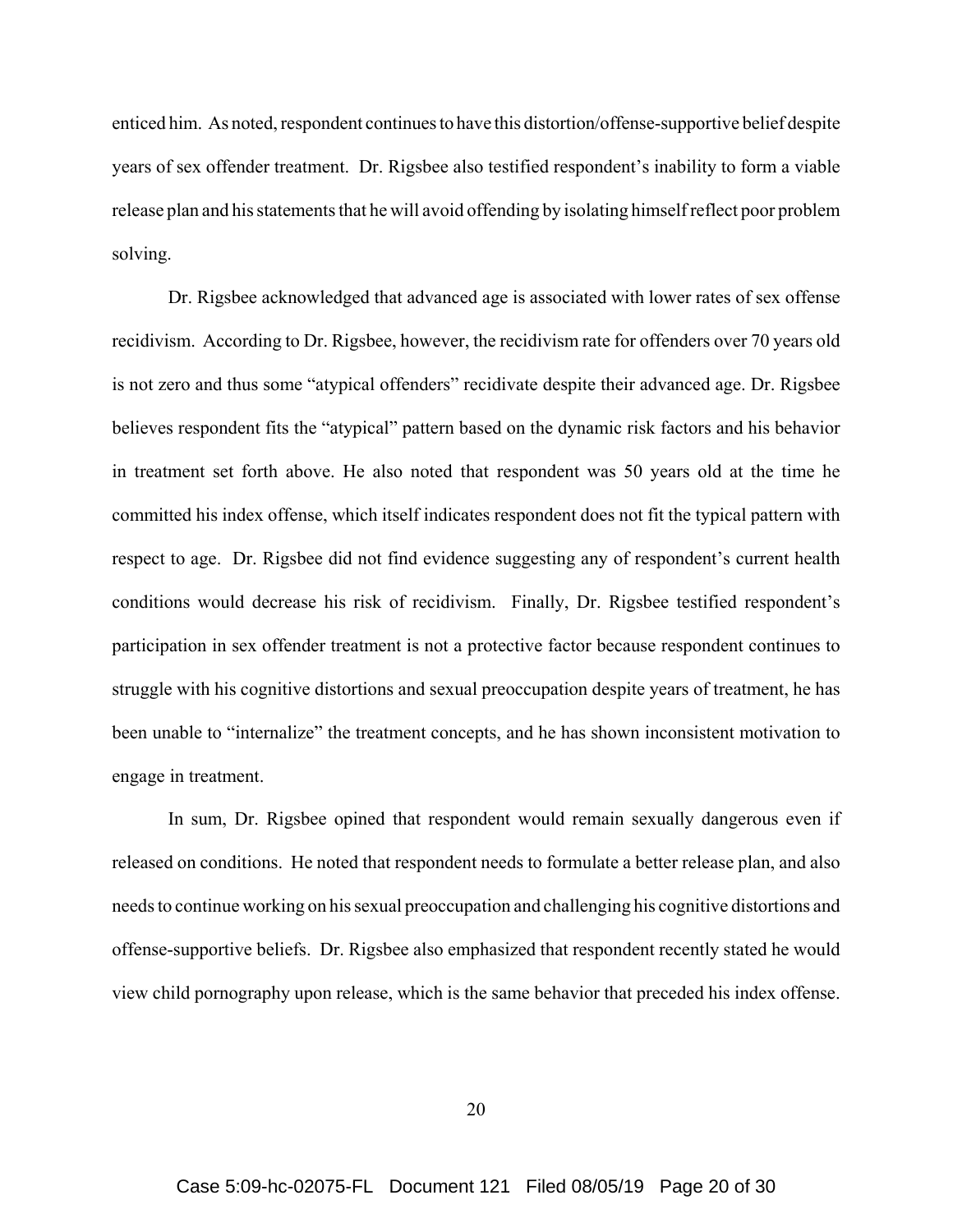enticed him. As noted, respondent continues to have this distortion/offense-supportive belief despite years of sex offender treatment. Dr. Rigsbee also testified respondent's inability to form a viable release plan and his statements that he will avoid offending by isolating himself reflect poor problem solving.

Dr. Rigsbee acknowledged that advanced age is associated with lower rates of sex offense recidivism. According to Dr. Rigsbee, however, the recidivism rate for offenders over 70 years old is not zero and thus some "atypical offenders" recidivate despite their advanced age. Dr. Rigsbee believes respondent fits the "atypical" pattern based on the dynamic risk factors and his behavior in treatment set forth above. He also noted that respondent was 50 years old at the time he committed his index offense, which itself indicates respondent does not fit the typical pattern with respect to age. Dr. Rigsbee did not find evidence suggesting any of respondent's current health conditions would decrease his risk of recidivism. Finally, Dr. Rigsbee testified respondent's participation in sex offender treatment is not a protective factor because respondent continues to struggle with his cognitive distortions and sexual preoccupation despite years of treatment, he has been unable to "internalize" the treatment concepts, and he has shown inconsistent motivation to engage in treatment.

In sum, Dr. Rigsbee opined that respondent would remain sexually dangerous even if released on conditions. He noted that respondent needs to formulate a better release plan, and also needs to continue working on his sexual preoccupation and challenging his cognitive distortions and offense-supportive beliefs. Dr. Rigsbee also emphasized that respondent recently stated he would view child pornography upon release, which is the same behavior that preceded his index offense.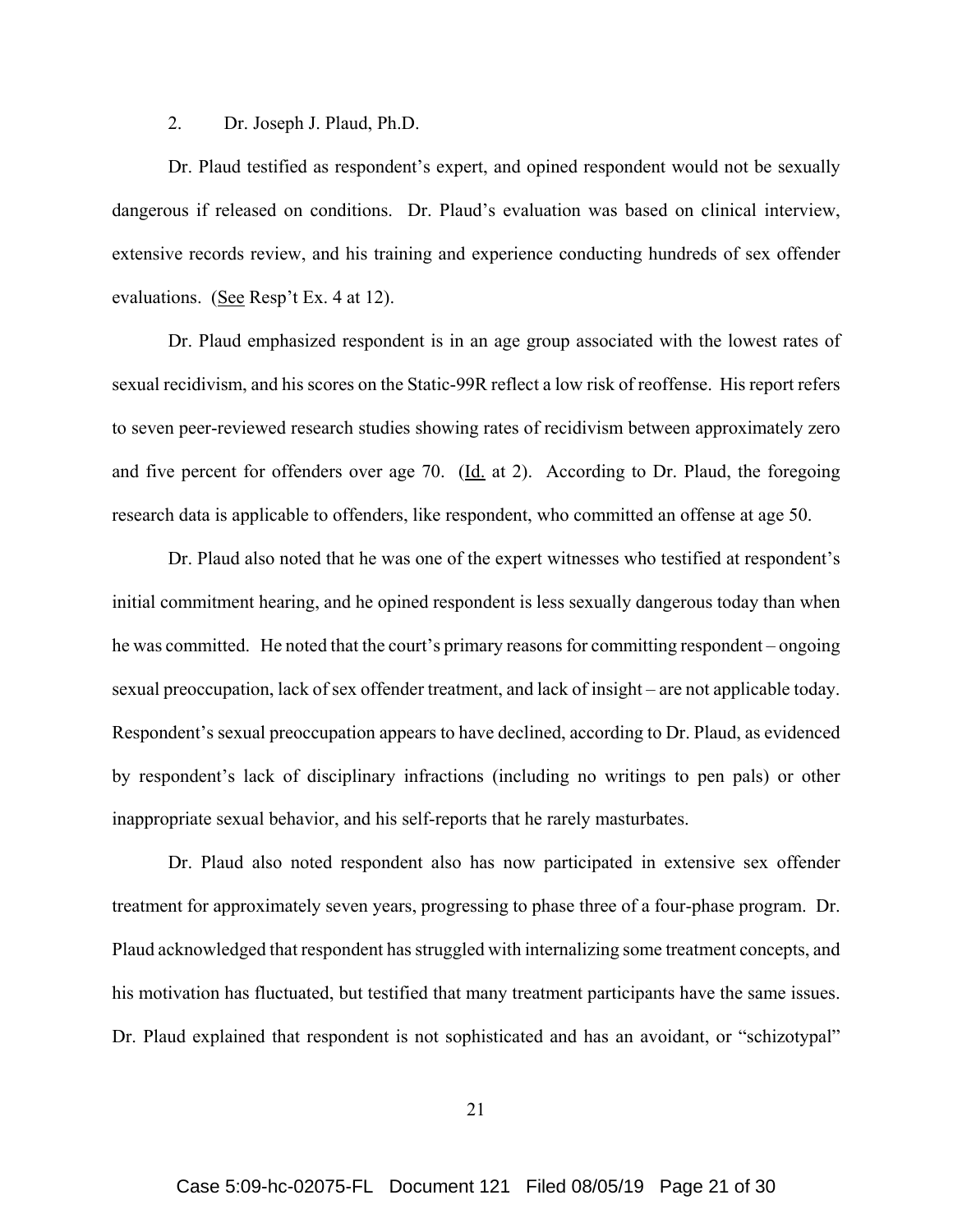## 2. Dr. Joseph J. Plaud, Ph.D.

Dr. Plaud testified as respondent's expert, and opined respondent would not be sexually dangerous if released on conditions. Dr. Plaud's evaluation was based on clinical interview, extensive records review, and his training and experience conducting hundreds of sex offender evaluations. (See Resp't Ex. 4 at 12).

Dr. Plaud emphasized respondent is in an age group associated with the lowest rates of sexual recidivism, and his scores on the Static-99R reflect a low risk of reoffense. His report refers to seven peer-reviewed research studies showing rates of recidivism between approximately zero and five percent for offenders over age 70.  $(Id. at 2)$ . According to Dr. Plaud, the foregoing research data is applicable to offenders, like respondent, who committed an offense at age 50.

Dr. Plaud also noted that he was one of the expert witnesses who testified at respondent's initial commitment hearing, and he opined respondent is less sexually dangerous today than when he was committed. He noted that the court's primary reasons for committing respondent – ongoing sexual preoccupation, lack of sex offender treatment, and lack of insight – are not applicable today. Respondent's sexual preoccupation appears to have declined, according to Dr. Plaud, as evidenced by respondent's lack of disciplinary infractions (including no writings to pen pals) or other inappropriate sexual behavior, and his self-reports that he rarely masturbates.

Dr. Plaud also noted respondent also has now participated in extensive sex offender treatment for approximately seven years, progressing to phase three of a four-phase program. Dr. Plaud acknowledged that respondent has struggled with internalizing some treatment concepts, and his motivation has fluctuated, but testified that many treatment participants have the same issues. Dr. Plaud explained that respondent is not sophisticated and has an avoidant, or "schizotypal"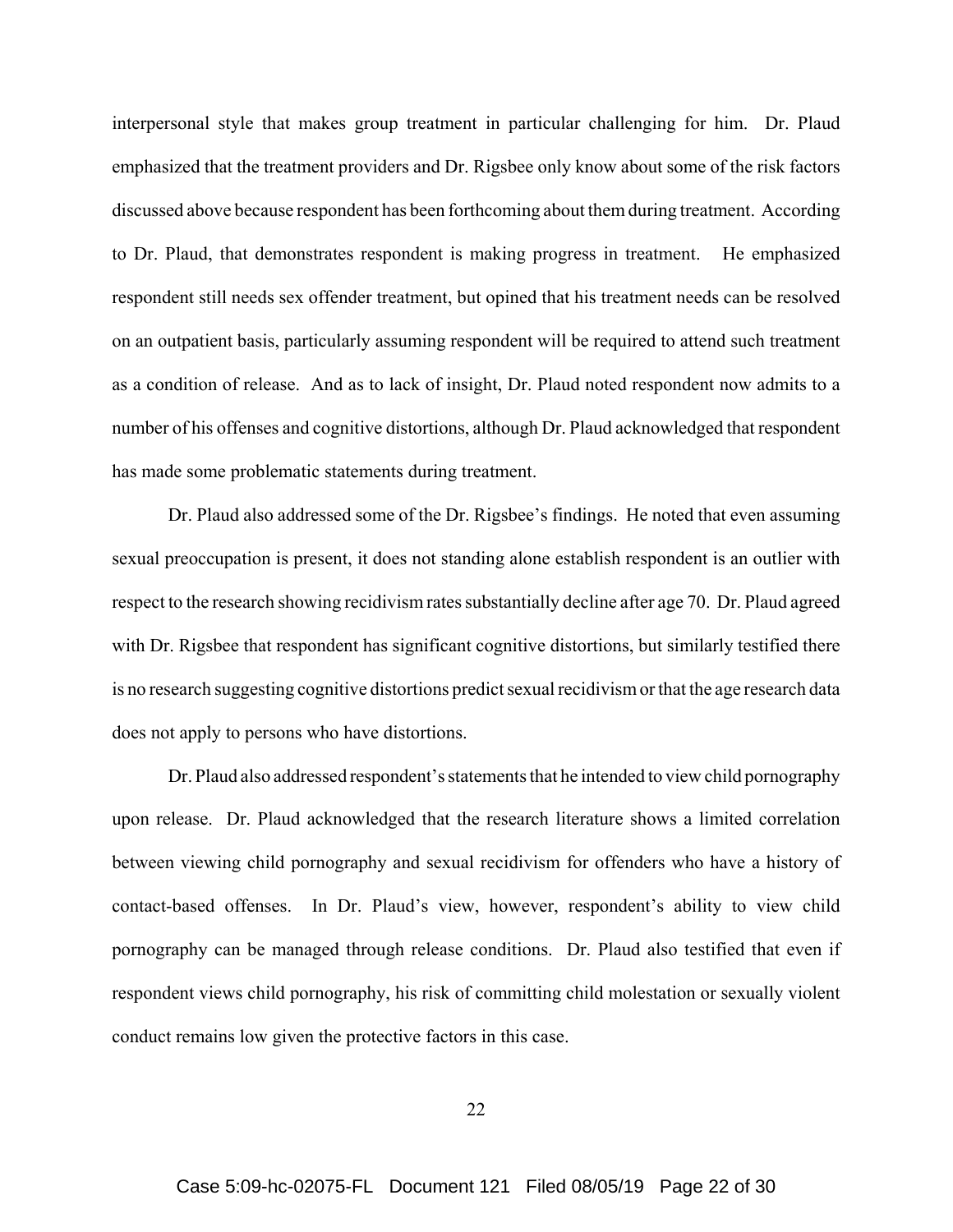interpersonal style that makes group treatment in particular challenging for him. Dr. Plaud emphasized that the treatment providers and Dr. Rigsbee only know about some of the risk factors discussed above because respondent has been forthcoming about them during treatment. According to Dr. Plaud, that demonstrates respondent is making progress in treatment. He emphasized respondent still needs sex offender treatment, but opined that his treatment needs can be resolved on an outpatient basis, particularly assuming respondent will be required to attend such treatment as a condition of release. And as to lack of insight, Dr. Plaud noted respondent now admits to a number of his offenses and cognitive distortions, although Dr. Plaud acknowledged that respondent has made some problematic statements during treatment.

Dr. Plaud also addressed some of the Dr. Rigsbee's findings. He noted that even assuming sexual preoccupation is present, it does not standing alone establish respondent is an outlier with respect to the research showing recidivism rates substantially decline after age 70. Dr. Plaud agreed with Dr. Rigsbee that respondent has significant cognitive distortions, but similarly testified there is no research suggesting cognitive distortions predict sexual recidivism or that the age research data does not apply to persons who have distortions.

Dr. Plaud also addressed respondent's statements that he intended to view child pornography upon release. Dr. Plaud acknowledged that the research literature shows a limited correlation between viewing child pornography and sexual recidivism for offenders who have a history of contact-based offenses. In Dr. Plaud's view, however, respondent's ability to view child pornography can be managed through release conditions. Dr. Plaud also testified that even if respondent views child pornography, his risk of committing child molestation or sexually violent conduct remains low given the protective factors in this case.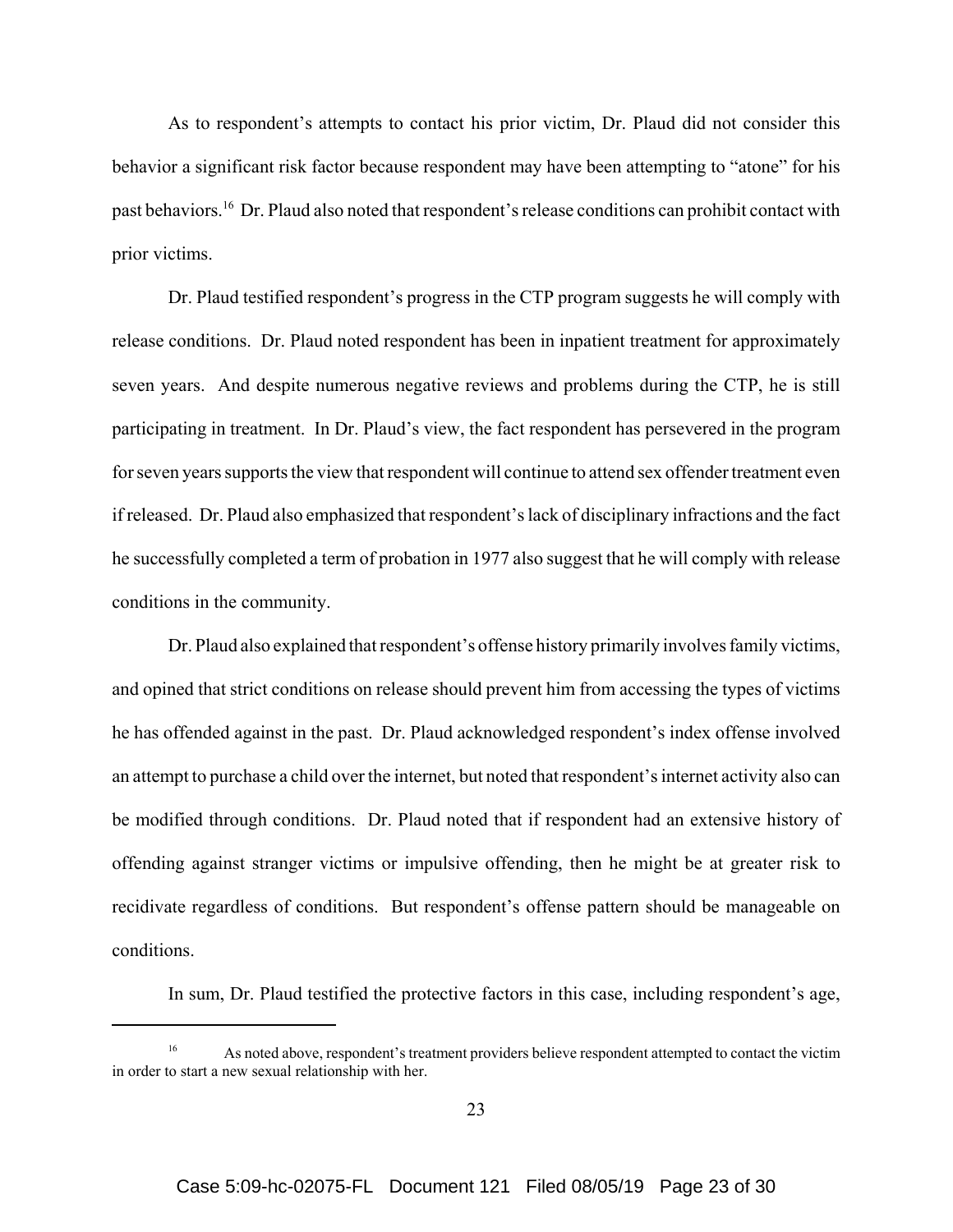As to respondent's attempts to contact his prior victim, Dr. Plaud did not consider this behavior a significant risk factor because respondent may have been attempting to "atone" for his past behaviors.16 Dr. Plaud also noted that respondent's release conditions can prohibit contact with prior victims.

Dr. Plaud testified respondent's progress in the CTP program suggests he will comply with release conditions.Dr. Plaud noted respondent has been in inpatient treatment for approximately seven years. And despite numerous negative reviews and problems during the CTP, he is still participating in treatment. In Dr. Plaud's view, the fact respondent has persevered in the program for seven years supports the view that respondent will continue to attend sex offender treatment even if released. Dr. Plaud also emphasized that respondent's lack of disciplinary infractions and the fact he successfully completed a term of probation in 1977 also suggest that he will comply with release conditions in the community.

Dr. Plaud also explained that respondent's offense history primarily involves family victims, and opined that strict conditions on release should prevent him from accessing the types of victims he has offended against in the past. Dr. Plaud acknowledged respondent's index offense involved an attempt to purchase a child over the internet, but noted that respondent's internet activity also can be modified through conditions. Dr. Plaud noted that if respondent had an extensive history of offending against stranger victims or impulsive offending, then he might be at greater risk to recidivate regardless of conditions. But respondent's offense pattern should be manageable on conditions.

In sum, Dr. Plaud testified the protective factors in this case, including respondent's age,

As noted above, respondent's treatment providers believe respondent attempted to contact the victim in order to start a new sexual relationship with her.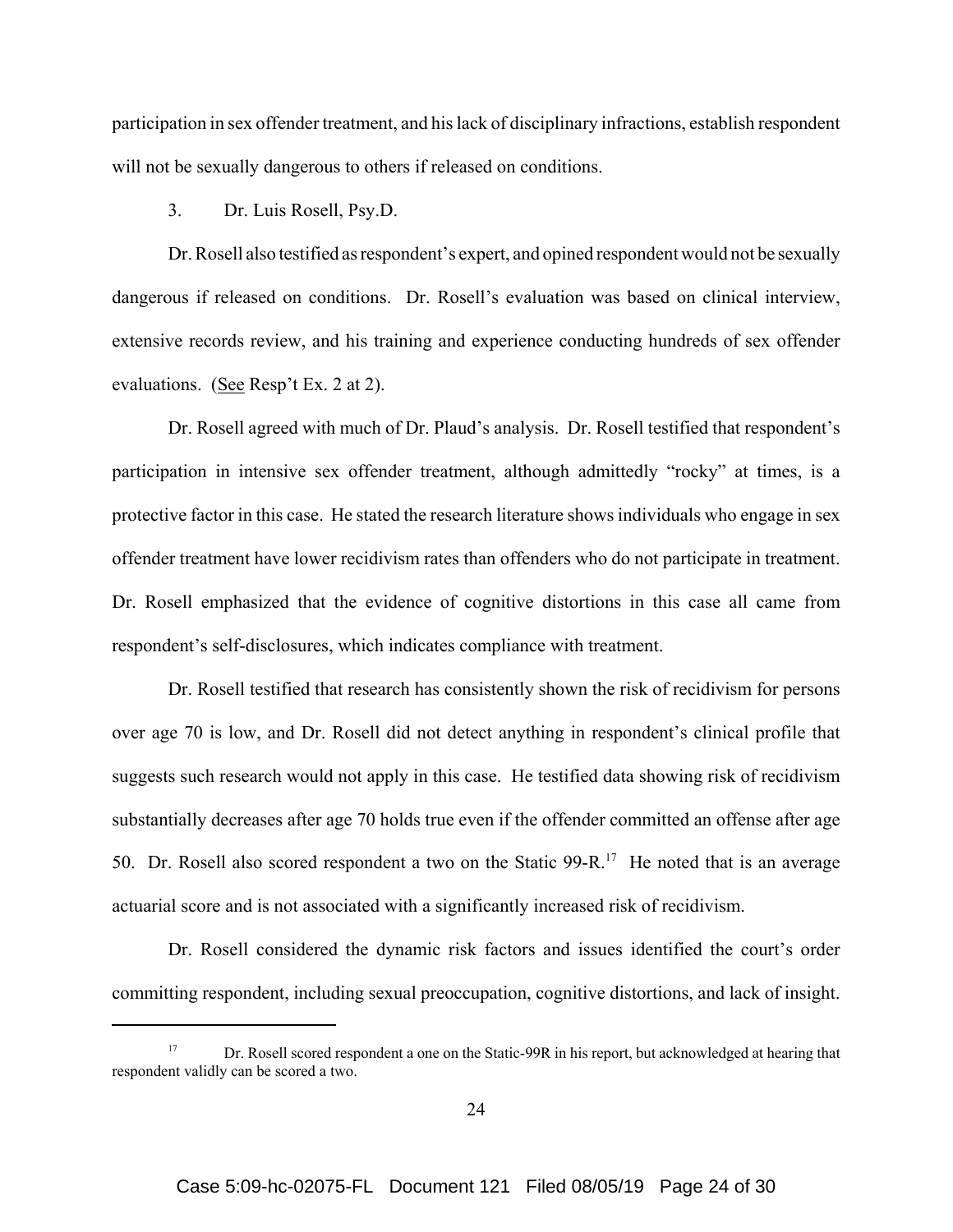participation in sex offender treatment, and his lack of disciplinary infractions, establish respondent will not be sexually dangerous to others if released on conditions.

#### 3. Dr. Luis Rosell, Psy.D.

Dr. Rosell also testified as respondent's expert, and opined respondent would not be sexually dangerous if released on conditions. Dr. Rosell's evaluation was based on clinical interview, extensive records review, and his training and experience conducting hundreds of sex offender evaluations. (See Resp't Ex. 2 at 2).

Dr. Rosell agreed with much of Dr. Plaud's analysis. Dr. Rosell testified that respondent's participation in intensive sex offender treatment, although admittedly "rocky" at times, is a protective factor in this case. He stated the research literature shows individuals who engage in sex offender treatment have lower recidivism rates than offenders who do not participate in treatment. Dr. Rosell emphasized that the evidence of cognitive distortions in this case all came from respondent's self-disclosures, which indicates compliance with treatment.

Dr. Rosell testified that research has consistently shown the risk of recidivism for persons over age 70 is low, and Dr. Rosell did not detect anything in respondent's clinical profile that suggests such research would not apply in this case. He testified data showing risk of recidivism substantially decreases after age 70 holds true even if the offender committed an offense after age 50. Dr. Rosell also scored respondent a two on the Static  $99 - R$ .<sup>17</sup> He noted that is an average actuarial score and is not associated with a significantly increased risk of recidivism.

Dr. Rosell considered the dynamic risk factors and issues identified the court's order committing respondent, including sexual preoccupation, cognitive distortions, and lack of insight.

Dr. Rosell scored respondent a one on the Static-99R in his report, but acknowledged at hearing that respondent validly can be scored a two.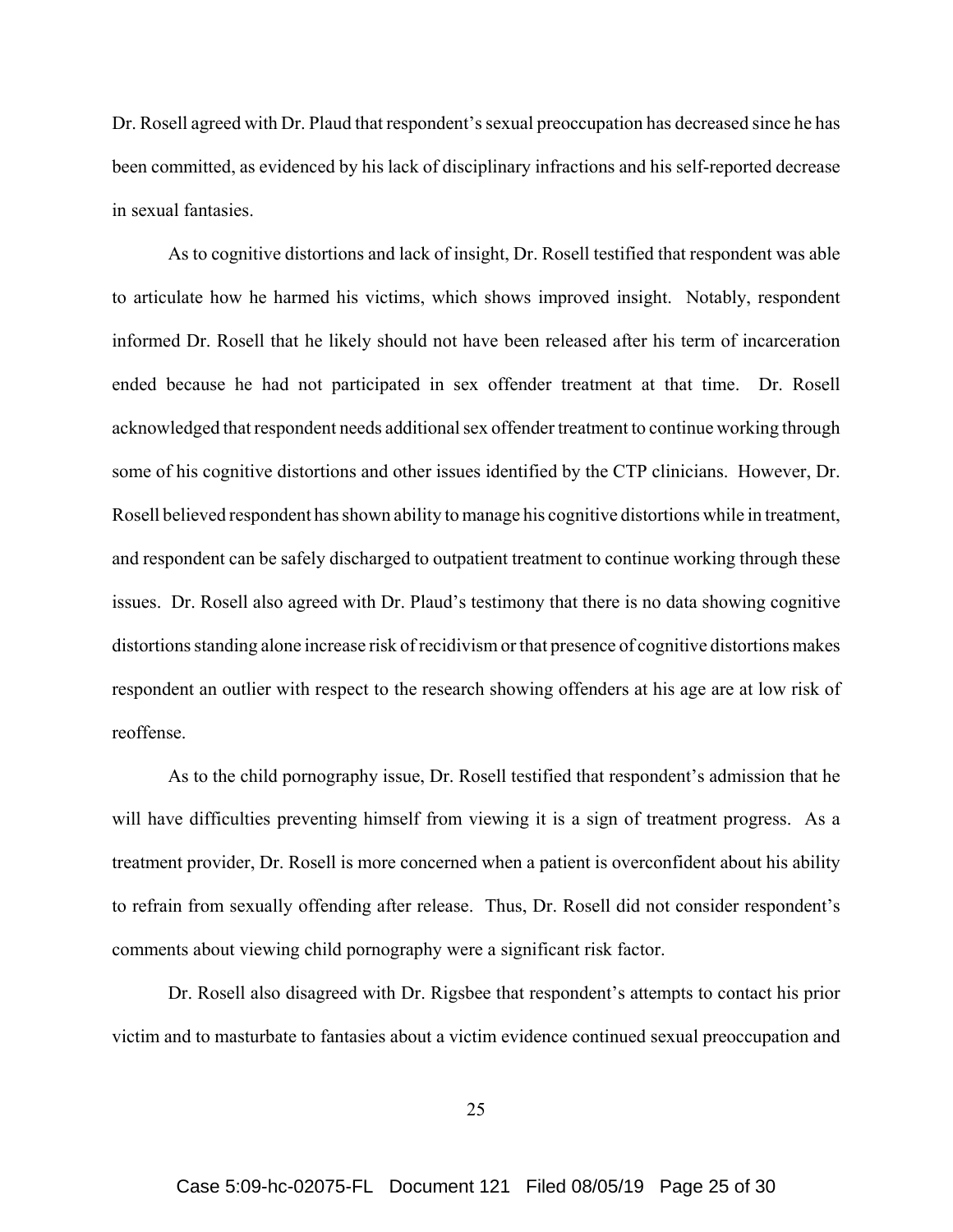Dr. Rosell agreed with Dr. Plaud that respondent's sexual preoccupation has decreased since he has been committed, as evidenced by his lack of disciplinary infractions and his self-reported decrease in sexual fantasies.

As to cognitive distortions and lack of insight, Dr. Rosell testified that respondent was able to articulate how he harmed his victims, which shows improved insight. Notably, respondent informed Dr. Rosell that he likely should not have been released after his term of incarceration ended because he had not participated in sex offender treatment at that time. Dr. Rosell acknowledged that respondent needs additional sex offender treatment to continue working through some of his cognitive distortions and other issues identified by the CTP clinicians. However, Dr. Rosell believed respondent has shown ability to manage his cognitive distortions while in treatment, and respondent can be safely discharged to outpatient treatment to continue working through these issues. Dr. Rosell also agreed with Dr. Plaud's testimony that there is no data showing cognitive distortions standing alone increase risk of recidivism or that presence of cognitive distortions makes respondent an outlier with respect to the research showing offenders at his age are at low risk of reoffense.

As to the child pornography issue, Dr. Rosell testified that respondent's admission that he will have difficulties preventing himself from viewing it is a sign of treatment progress. As a treatment provider, Dr. Rosell is more concerned when a patient is overconfident about his ability to refrain from sexually offending after release. Thus, Dr. Rosell did not consider respondent's comments about viewing child pornography were a significant risk factor.

Dr. Rosell also disagreed with Dr. Rigsbee that respondent's attempts to contact his prior victim and to masturbate to fantasies about a victim evidence continued sexual preoccupation and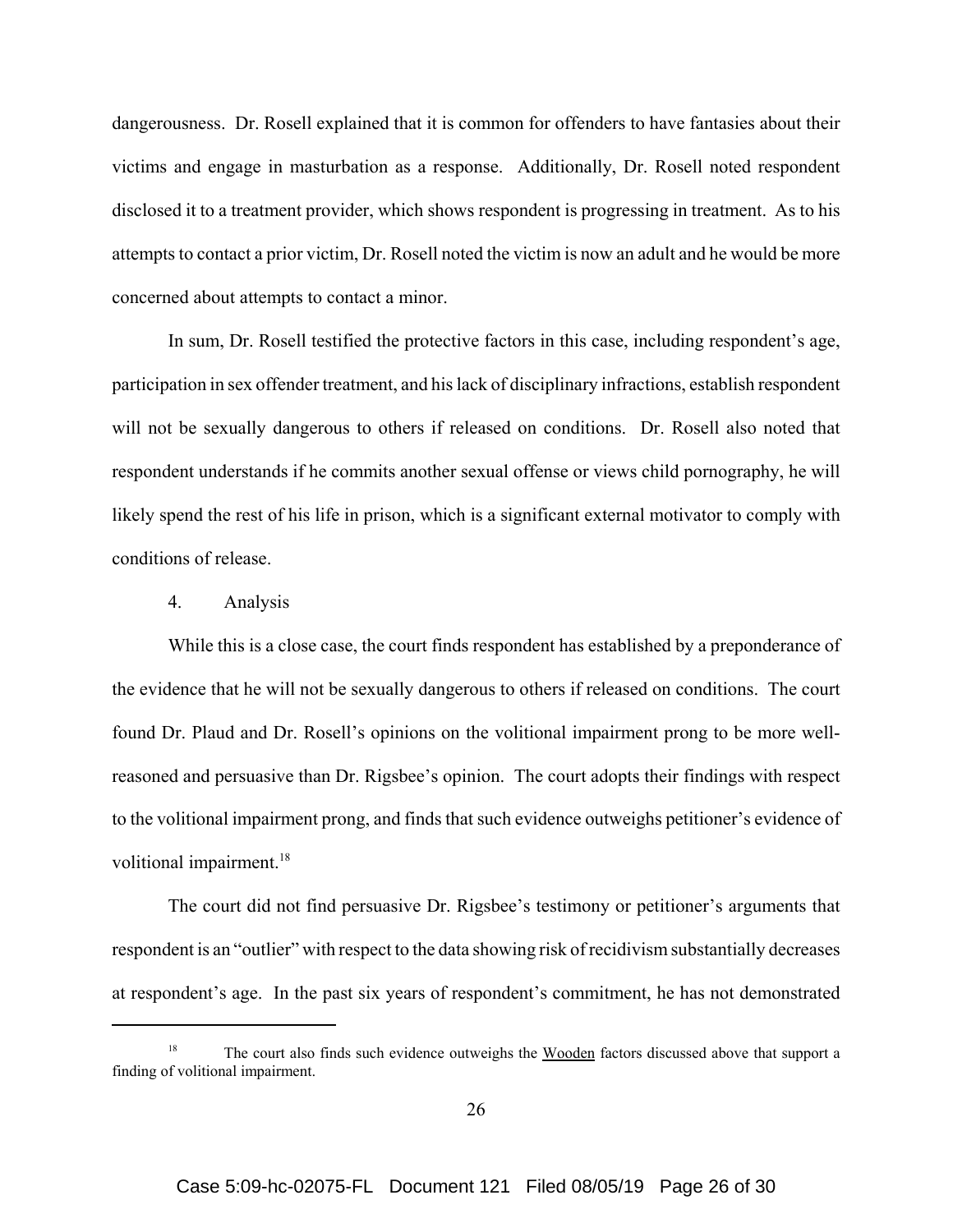dangerousness. Dr. Rosell explained that it is common for offenders to have fantasies about their victims and engage in masturbation as a response. Additionally, Dr. Rosell noted respondent disclosed it to a treatment provider, which shows respondent is progressing in treatment. As to his attempts to contact a prior victim, Dr. Rosell noted the victim is now an adult and he would be more concerned about attempts to contact a minor.

In sum, Dr. Rosell testified the protective factors in this case, including respondent's age, participation in sex offender treatment, and his lack of disciplinary infractions, establish respondent will not be sexually dangerous to others if released on conditions. Dr. Rosell also noted that respondent understands if he commits another sexual offense or views child pornography, he will likely spend the rest of his life in prison, which is a significant external motivator to comply with conditions of release.

## 4. Analysis

While this is a close case, the court finds respondent has established by a preponderance of the evidence that he will not be sexually dangerous to others if released on conditions. The court found Dr. Plaud and Dr. Rosell's opinions on the volitional impairment prong to be more wellreasoned and persuasive than Dr. Rigsbee's opinion. The court adopts their findings with respect to the volitional impairment prong, and finds that such evidence outweighs petitioner's evidence of volitional impairment.<sup>18</sup>

The court did not find persuasive Dr. Rigsbee's testimony or petitioner's arguments that respondent is an "outlier" with respect to the data showing risk of recidivism substantially decreases at respondent's age. In the past six years of respondent's commitment, he has not demonstrated

The court also finds such evidence outweighs the Wooden factors discussed above that support a finding of volitional impairment.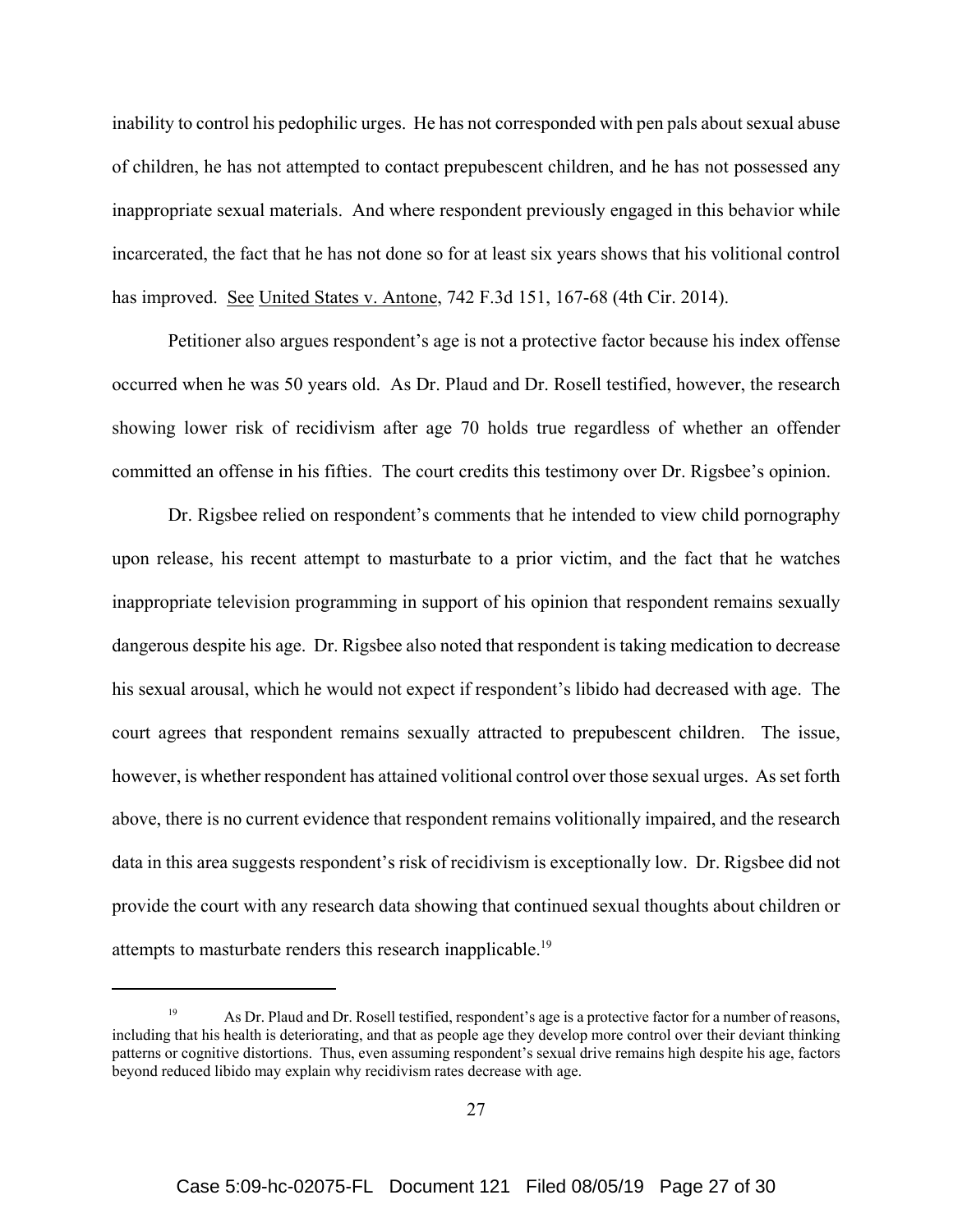inability to control his pedophilic urges. He has not corresponded with pen pals about sexual abuse of children, he has not attempted to contact prepubescent children, and he has not possessed any inappropriate sexual materials. And where respondent previously engaged in this behavior while incarcerated, the fact that he has not done so for at least six years shows that his volitional control has improved. <u>See United States v. Antone</u>, 742 F.3d 151, 167-68 (4th Cir. 2014).

Petitioner also argues respondent's age is not a protective factor because his index offense occurred when he was 50 years old. As Dr. Plaud and Dr. Rosell testified, however, the research showing lower risk of recidivism after age 70 holds true regardless of whether an offender committed an offense in his fifties. The court credits this testimony over Dr. Rigsbee's opinion.

Dr. Rigsbee relied on respondent's comments that he intended to view child pornography upon release, his recent attempt to masturbate to a prior victim, and the fact that he watches inappropriate television programming in support of his opinion that respondent remains sexually dangerous despite his age. Dr. Rigsbee also noted that respondent is taking medication to decrease his sexual arousal, which he would not expect if respondent's libido had decreased with age. The court agrees that respondent remains sexually attracted to prepubescent children. The issue, however, is whether respondent has attained volitional control over those sexual urges. As set forth above, there is no current evidence that respondent remains volitionally impaired, and the research data in this area suggests respondent's risk of recidivism is exceptionally low. Dr. Rigsbee did not provide the court with any research data showing that continued sexual thoughts about children or attempts to masturbate renders this research inapplicable.<sup>19</sup>

As Dr. Plaud and Dr. Rosell testified, respondent's age is a protective factor for a number of reasons, including that his health is deteriorating, and that as people age they develop more control over their deviant thinking patterns or cognitive distortions. Thus, even assuming respondent's sexual drive remains high despite his age, factors beyond reduced libido may explain why recidivism rates decrease with age.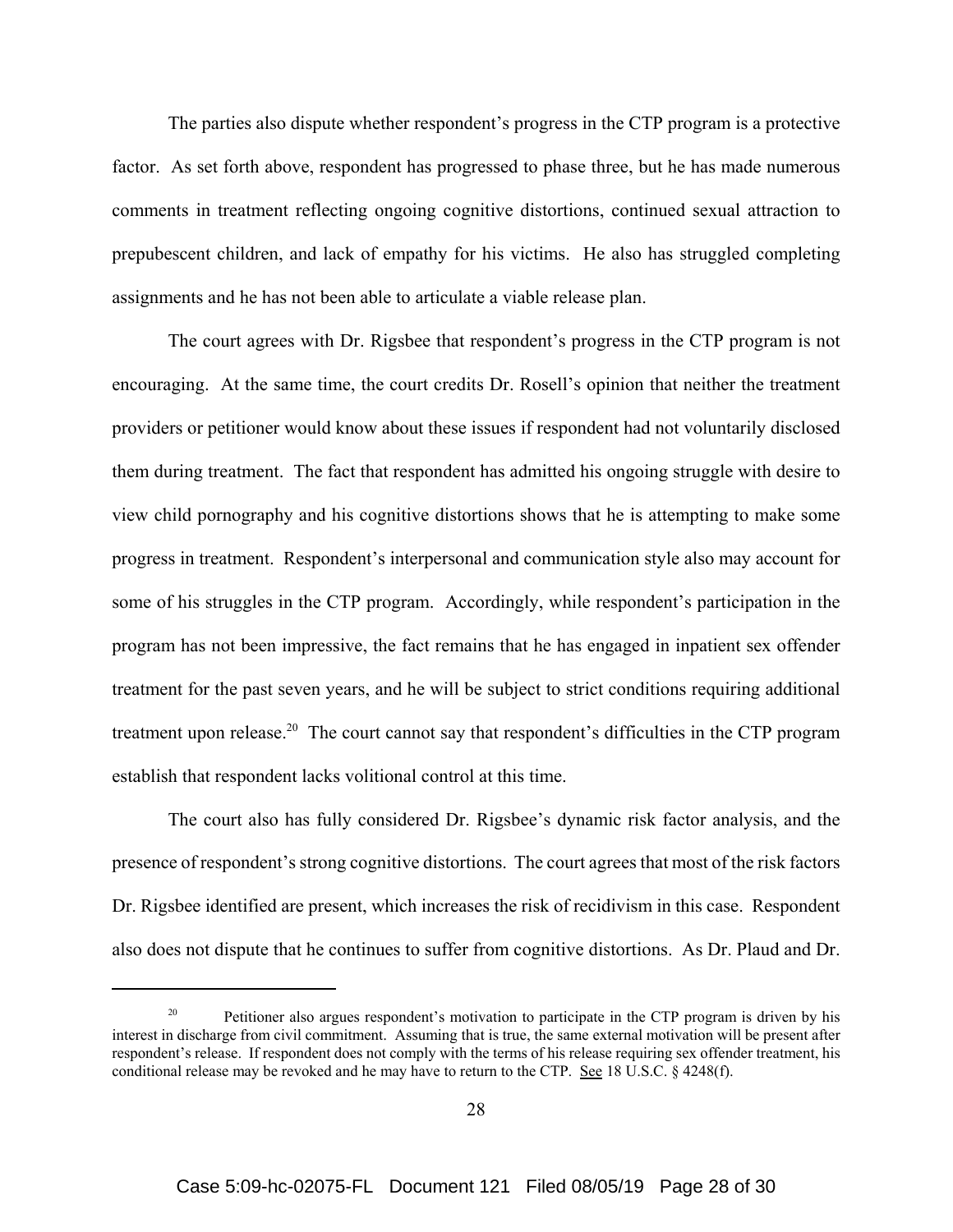The parties also dispute whether respondent's progress in the CTP program is a protective factor. As set forth above, respondent has progressed to phase three, but he has made numerous comments in treatment reflecting ongoing cognitive distortions, continued sexual attraction to prepubescent children, and lack of empathy for his victims. He also has struggled completing assignments and he has not been able to articulate a viable release plan.

The court agrees with Dr. Rigsbee that respondent's progress in the CTP program is not encouraging. At the same time, the court credits Dr. Rosell's opinion that neither the treatment providers or petitioner would know about these issues if respondent had not voluntarily disclosed them during treatment. The fact that respondent has admitted his ongoing struggle with desire to view child pornography and his cognitive distortions shows that he is attempting to make some progress in treatment. Respondent's interpersonal and communication style also may account for some of his struggles in the CTP program. Accordingly, while respondent's participation in the program has not been impressive, the fact remains that he has engaged in inpatient sex offender treatment for the past seven years, and he will be subject to strict conditions requiring additional treatment upon release.<sup>20</sup> The court cannot say that respondent's difficulties in the CTP program establish that respondent lacks volitional control at this time.

The court also has fully considered Dr. Rigsbee's dynamic risk factor analysis, and the presence of respondent's strong cognitive distortions. The court agrees that most of the risk factors Dr. Rigsbee identified are present, which increases the risk of recidivism in this case. Respondent also does not dispute that he continues to suffer from cognitive distortions. As Dr. Plaud and Dr.

Petitioner also argues respondent's motivation to participate in the CTP program is driven by his interest in discharge from civil commitment. Assuming that is true, the same external motivation will be present after respondent's release. If respondent does not comply with the terms of his release requiring sex offender treatment, his conditional release may be revoked and he may have to return to the CTP. See 18 U.S.C. § 4248(f).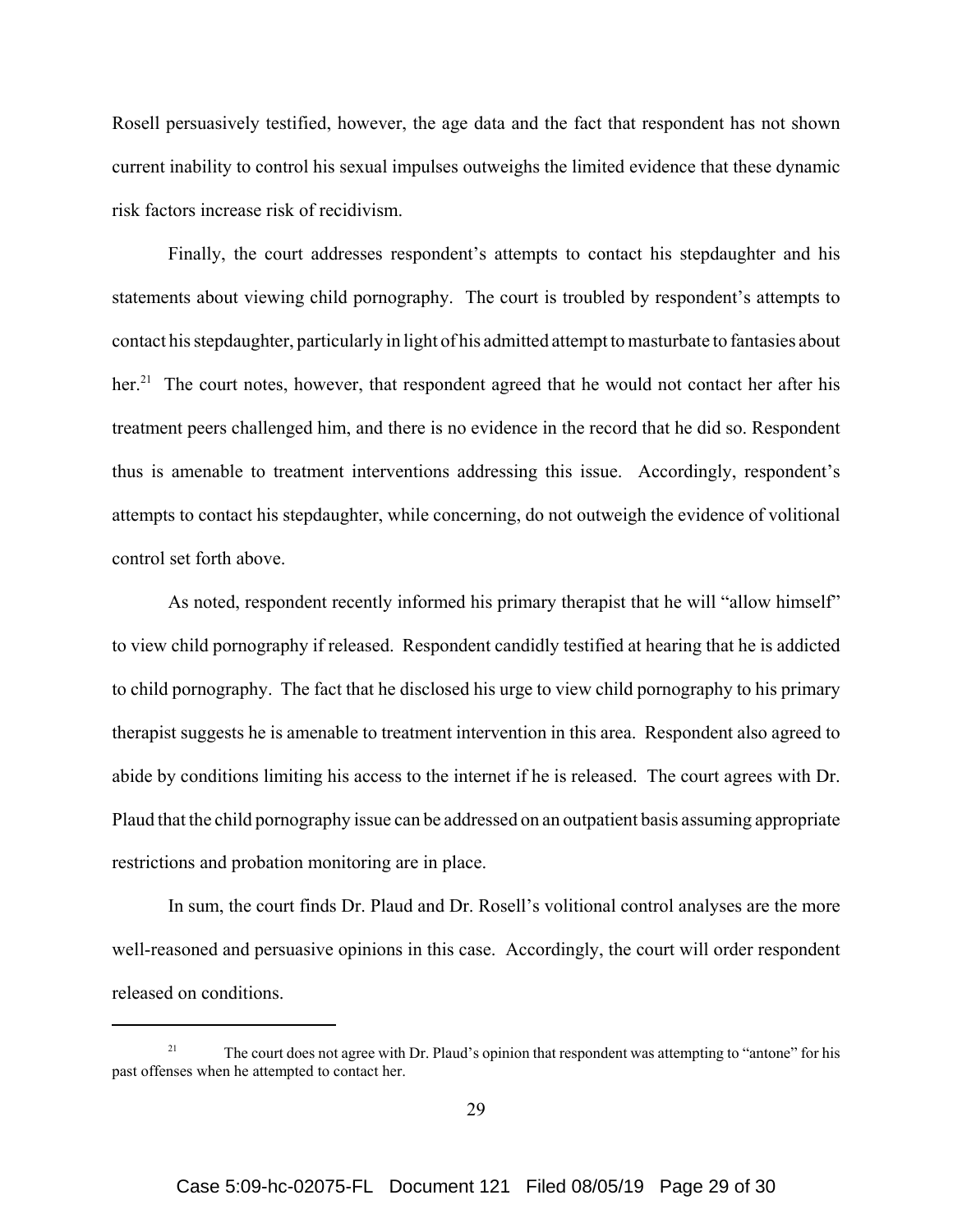Rosell persuasively testified, however, the age data and the fact that respondent has not shown current inability to control his sexual impulses outweighs the limited evidence that these dynamic risk factors increase risk of recidivism.

Finally, the court addresses respondent's attempts to contact his stepdaughter and his statements about viewing child pornography. The court is troubled by respondent's attempts to contact his stepdaughter, particularly in light of his admitted attempt to masturbate to fantasies about her.<sup>21</sup> The court notes, however, that respondent agreed that he would not contact her after his treatment peers challenged him, and there is no evidence in the record that he did so. Respondent thus is amenable to treatment interventions addressing this issue. Accordingly, respondent's attempts to contact his stepdaughter, while concerning, do not outweigh the evidence of volitional control set forth above.

As noted, respondent recently informed his primary therapist that he will "allow himself" to view child pornography if released. Respondent candidly testified at hearing that he is addicted to child pornography. The fact that he disclosed his urge to view child pornography to his primary therapist suggests he is amenable to treatment intervention in this area. Respondent also agreed to abide by conditions limiting his access to the internet if he is released. The court agrees with Dr. Plaud that the child pornography issue can be addressed on an outpatient basis assuming appropriate restrictions and probation monitoring are in place.

In sum, the court finds Dr. Plaud and Dr. Rosell's volitional control analyses are the more well-reasoned and persuasive opinions in this case. Accordingly, the court will order respondent released on conditions.

The court does not agree with Dr. Plaud's opinion that respondent was attempting to "antone" for his past offenses when he attempted to contact her.